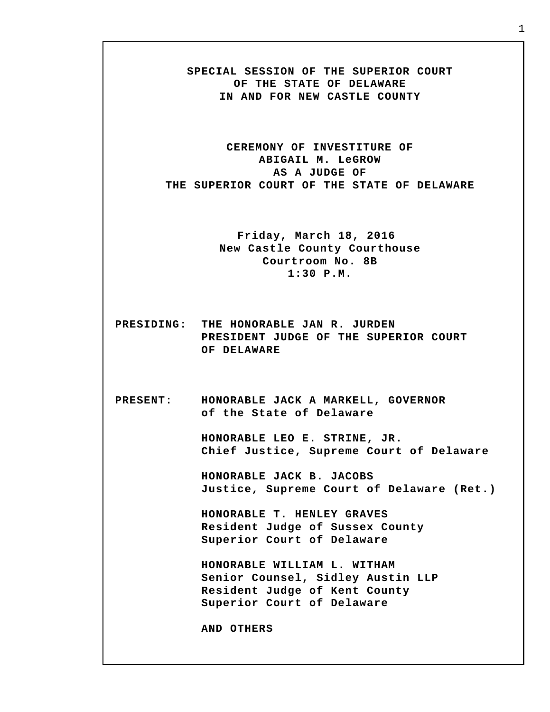**SPECIAL SESSION OF THE SUPERIOR COURT OF THE STATE OF DELAWARE IN AND FOR NEW CASTLE COUNTY**

**CEREMONY OF INVESTITURE OF ABIGAIL M. LeGROW AS A JUDGE OF THE SUPERIOR COURT OF THE STATE OF DELAWARE**

> **Friday, March 18, 2016 New Castle County Courthouse Courtroom No. 8B 1:30 P.M.**

- **PRESIDING: THE HONORABLE JAN R. JURDEN PRESIDENT JUDGE OF THE SUPERIOR COURT OF DELAWARE**
- **PRESENT: HONORABLE JACK A MARKELL, GOVERNOR of the State of Delaware**

**HONORABLE LEO E. STRINE, JR. Chief Justice, Supreme Court of Delaware**

**HONORABLE JACK B. JACOBS Justice, Supreme Court of Delaware (Ret.)**

**HONORABLE T. HENLEY GRAVES Resident Judge of Sussex County Superior Court of Delaware**

**HONORABLE WILLIAM L. WITHAM Senior Counsel, Sidley Austin LLP Resident Judge of Kent County Superior Court of Delaware**

**AND OTHERS**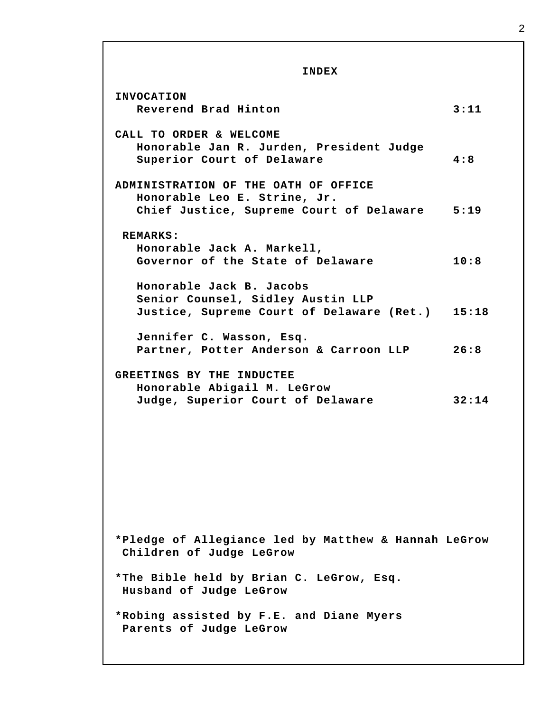**INDEX INVOCATION Reverend Brad Hinton 3:11 CALL TO ORDER & WELCOME Honorable Jan R. Jurden, President Judge Superior Court of Delaware 4:8 ADMINISTRATION OF THE OATH OF OFFICE Honorable Leo E. Strine, Jr. Chief Justice, Supreme Court of Delaware 5:19 REMARKS: Honorable Jack A. Markell, Governor of the State of Delaware 10:8 Honorable Jack B. Jacobs Senior Counsel, Sidley Austin LLP Justice, Supreme Court of Delaware (Ret.) 15:18 Jennifer C. Wasson, Esq. Partner, Potter Anderson & Carroon LLP 26:8 GREETINGS BY THE INDUCTEE Honorable Abigail M. LeGrow Judge, Superior Court of Delaware 32:14 \*Pledge of Allegiance led by Matthew & Hannah LeGrow Children of Judge LeGrow \*The Bible held by Brian C. LeGrow, Esq. Husband of Judge LeGrow \*Robing assisted by F.E. and Diane Myers Parents of Judge LeGrow**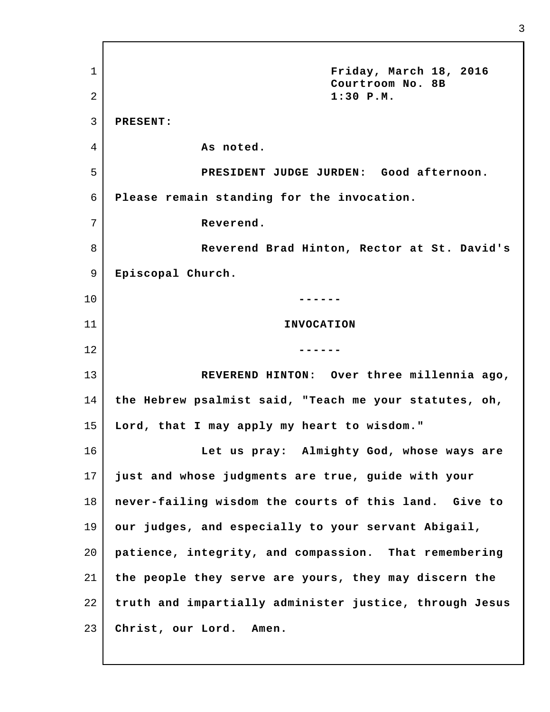1 2 3 4 5 6 7 8 9 10 11 12 13 14 15 16 17 18 19 20 21 22 23 **Friday, March 18, 2016 Courtroom No. 8B 1:30 P.M. PRESENT: As noted. PRESIDENT JUDGE JURDEN: Good afternoon. Please remain standing for the invocation. Reverend. Reverend Brad Hinton, Rector at St. David's Episcopal Church. ------ INVOCATION ------ REVEREND HINTON: Over three millennia ago, the Hebrew psalmist said, "Teach me your statutes, oh, Lord, that I may apply my heart to wisdom." Let us pray: Almighty God, whose ways are just and whose judgments are true, guide with your never-failing wisdom the courts of this land. Give to our judges, and especially to your servant Abigail, patience, integrity, and compassion. That remembering the people they serve are yours, they may discern the truth and impartially administer justice, through Jesus Christ, our Lord. Amen.**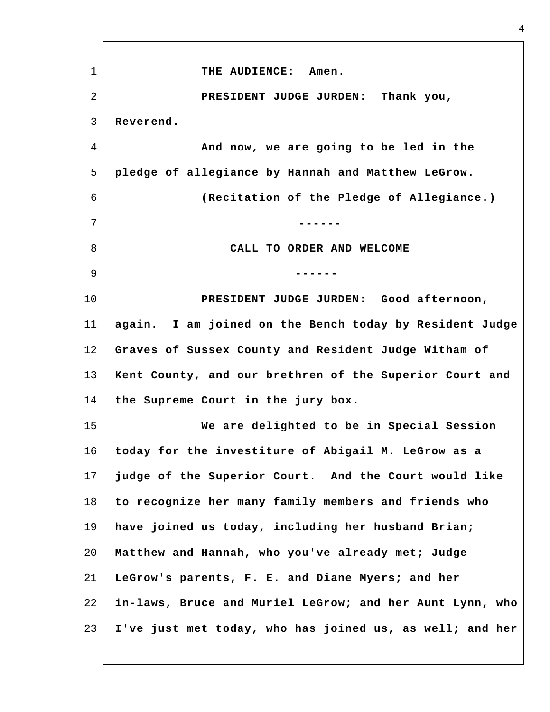1 2 3 4 5 6 7 8 9 10 11 12 13 14 15 16 17 18 19 20 21 22 23 **THE AUDIENCE: Amen. PRESIDENT JUDGE JURDEN: Thank you, Reverend. And now, we are going to be led in the pledge of allegiance by Hannah and Matthew LeGrow. (Recitation of the Pledge of Allegiance.) ------ CALL TO ORDER AND WELCOME ------ PRESIDENT JUDGE JURDEN: Good afternoon, again. I am joined on the Bench today by Resident Judge Graves of Sussex County and Resident Judge Witham of Kent County, and our brethren of the Superior Court and the Supreme Court in the jury box. We are delighted to be in Special Session today for the investiture of Abigail M. LeGrow as a judge of the Superior Court. And the Court would like to recognize her many family members and friends who have joined us today, including her husband Brian; Matthew and Hannah, who you've already met; Judge LeGrow's parents, F. E. and Diane Myers; and her in-laws, Bruce and Muriel LeGrow; and her Aunt Lynn, who I've just met today, who has joined us, as well; and her**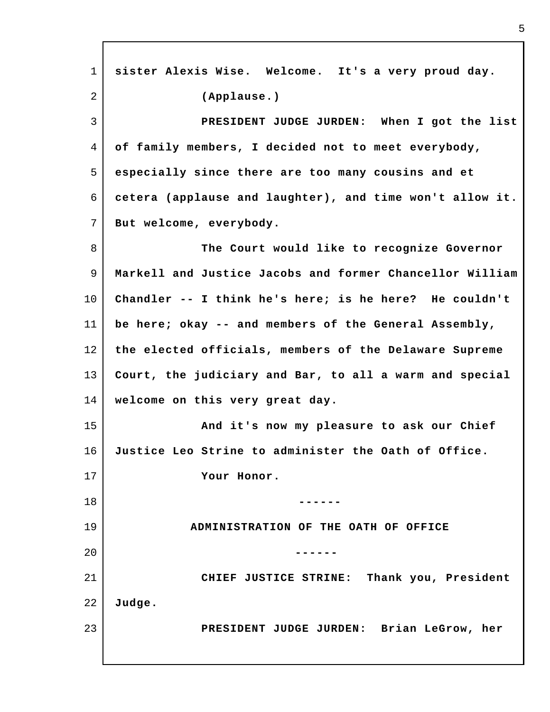| $\mathbf{1}$ | sister Alexis Wise. Welcome. It's a very proud day.      |
|--------------|----------------------------------------------------------|
| 2            | (Applause.)                                              |
| $\mathbf{3}$ | PRESIDENT JUDGE JURDEN: When I got the list              |
| 4            | of family members, I decided not to meet everybody,      |
| 5            | especially since there are too many cousins and et       |
| 6            | cetera (applause and laughter), and time won't allow it. |
| 7            | But welcome, everybody.                                  |
| 8            | The Court would like to recognize Governor               |
| 9            | Markell and Justice Jacobs and former Chancellor William |
| 10           | Chandler -- I think he's here; is he here? He couldn't   |
| 11           | be here; okay $-$ and members of the General Assembly,   |
| 12           | the elected officials, members of the Delaware Supreme   |
| 13           | Court, the judiciary and Bar, to all a warm and special  |
| 14           | welcome on this very great day.                          |
| 15           | And it's now my pleasure to ask our Chief                |
| 16           | Justice Leo Strine to administer the Oath of Office.     |
| 17           | Your Honor.                                              |
| 18           |                                                          |
| 19           | ADMINISTRATION OF THE OATH OF OFFICE                     |
| 20           |                                                          |
| 21           | CHIEF JUSTICE STRINE: Thank you, President               |
| 22           | Judge.                                                   |
| 23           | PRESIDENT JUDGE JURDEN: Brian LeGrow, her                |
|              |                                                          |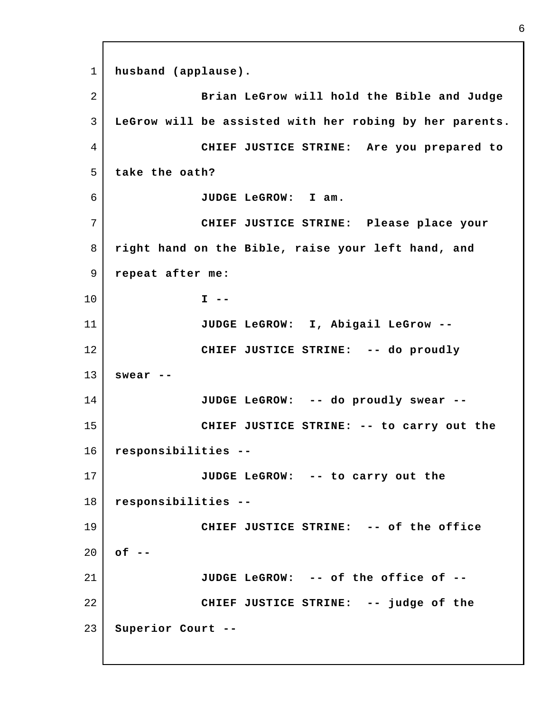1 2 3 4 5 6 7 8 9 10 11 12 13 14 15 16 17 18 19 20 21 22 23 **husband (applause). Brian LeGrow will hold the Bible and Judge LeGrow will be assisted with her robing by her parents. CHIEF JUSTICE STRINE: Are you prepared to take the oath? JUDGE LeGROW: I am. CHIEF JUSTICE STRINE: Please place your right hand on the Bible, raise your left hand, and repeat after me: I -- JUDGE LeGROW: I, Abigail LeGrow -- CHIEF JUSTICE STRINE: -- do proudly swear -- JUDGE LeGROW: -- do proudly swear -- CHIEF JUSTICE STRINE: -- to carry out the responsibilities -- JUDGE LeGROW: -- to carry out the responsibilities -- CHIEF JUSTICE STRINE: -- of the office of -- JUDGE LeGROW: -- of the office of -- CHIEF JUSTICE STRINE: -- judge of the Superior Court --**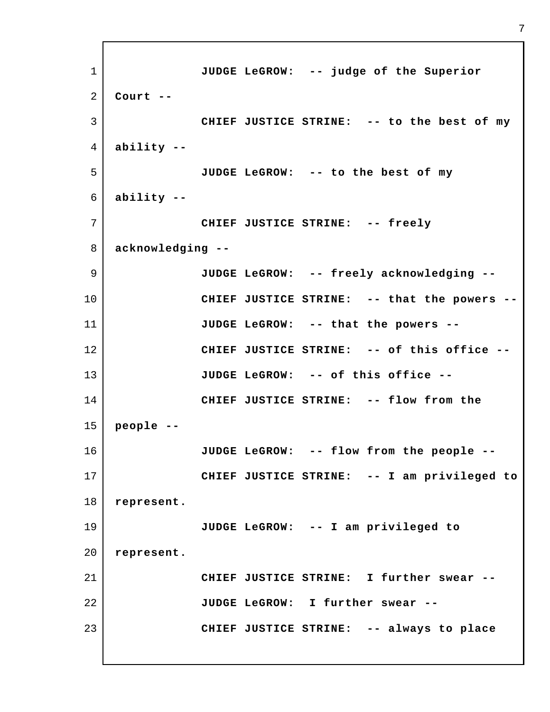1 2 3 4 5 6 7 8 9 10 11 12 13 14 15 16 17 18 19 20 21 22 23 **JUDGE LeGROW: -- judge of the Superior Court -- CHIEF JUSTICE STRINE: -- to the best of my ability -- JUDGE LeGROW: -- to the best of my ability -- CHIEF JUSTICE STRINE: -- freely acknowledging -- JUDGE LeGROW: -- freely acknowledging -- CHIEF JUSTICE STRINE: -- that the powers -- JUDGE LeGROW: -- that the powers -- CHIEF JUSTICE STRINE: -- of this office -- JUDGE LeGROW: -- of this office -- CHIEF JUSTICE STRINE: -- flow from the people -- JUDGE LeGROW: -- flow from the people -- CHIEF JUSTICE STRINE: -- I am privileged to represent. JUDGE LeGROW: -- I am privileged to represent. CHIEF JUSTICE STRINE: I further swear -- JUDGE LeGROW: I further swear -- CHIEF JUSTICE STRINE: -- always to place**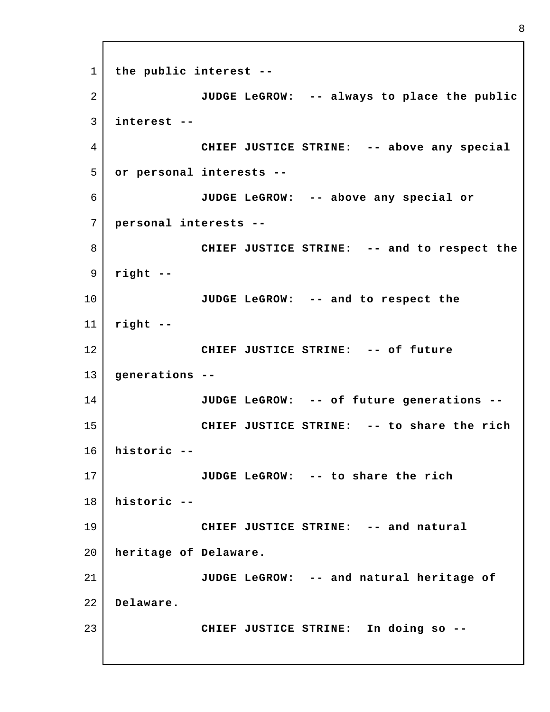1 2 3 4 5 6 7 8 9 10 11 12 13 14 15 16 17 18 19 20 21 22 23 **the public interest -- JUDGE LeGROW: -- always to place the public interest -- CHIEF JUSTICE STRINE: -- above any special or personal interests -- JUDGE LeGROW: -- above any special or personal interests -- CHIEF JUSTICE STRINE: -- and to respect the right -- JUDGE LeGROW: -- and to respect the right -- CHIEF JUSTICE STRINE: -- of future generations -- JUDGE LeGROW: -- of future generations -- CHIEF JUSTICE STRINE: -- to share the rich historic -- JUDGE LeGROW: -- to share the rich historic -- CHIEF JUSTICE STRINE: -- and natural heritage of Delaware. JUDGE LeGROW: -- and natural heritage of Delaware. CHIEF JUSTICE STRINE: In doing so --**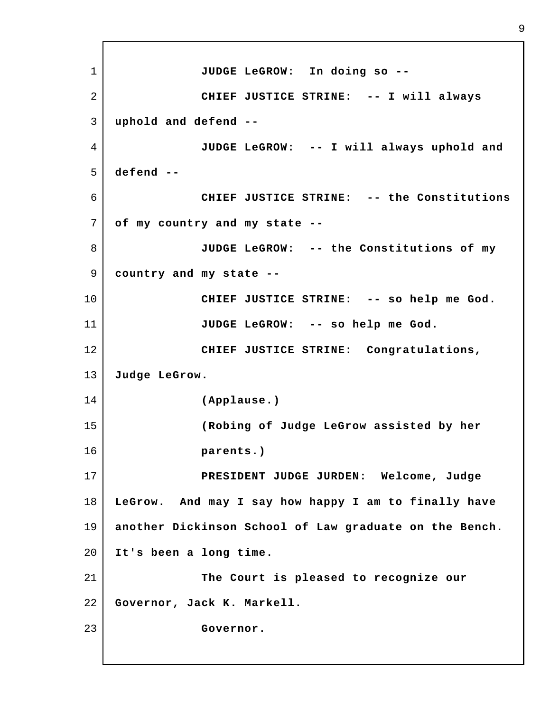1 2 3 4 5 6 7 8 9 10 11 12 13 14 15 16 17 18 19 20 21 22 23 **JUDGE LeGROW: In doing so -- CHIEF JUSTICE STRINE: -- I will always uphold and defend -- JUDGE LeGROW: -- I will always uphold and defend -- CHIEF JUSTICE STRINE: -- the Constitutions of my country and my state -- JUDGE LeGROW: -- the Constitutions of my country and my state -- CHIEF JUSTICE STRINE: -- so help me God. JUDGE LeGROW: -- so help me God. CHIEF JUSTICE STRINE: Congratulations, Judge LeGrow. (Applause.) (Robing of Judge LeGrow assisted by her parents.) PRESIDENT JUDGE JURDEN: Welcome, Judge LeGrow. And may I say how happy I am to finally have another Dickinson School of Law graduate on the Bench. It's been a long time. The Court is pleased to recognize our Governor, Jack K. Markell. Governor.**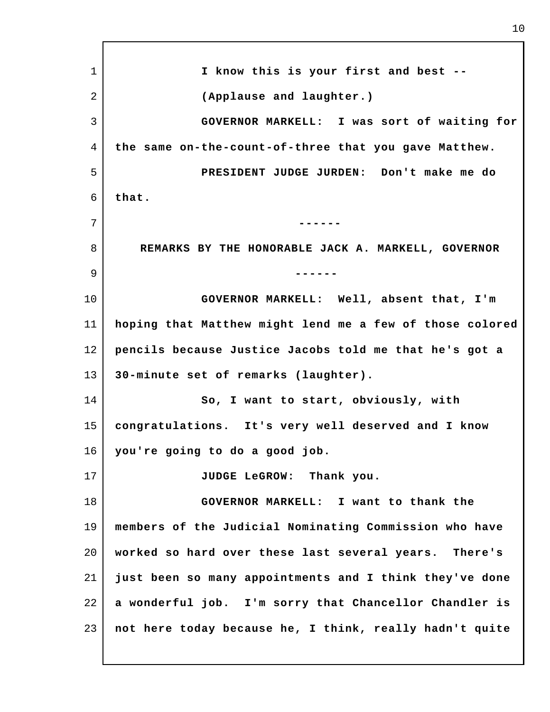1 2 3 4 5 6 7 8 9 10 11 12 13 14 15 16 17 18 19 20 21 22 23 **I know this is your first and best -- (Applause and laughter.) GOVERNOR MARKELL: I was sort of waiting for the same on-the-count-of-three that you gave Matthew. PRESIDENT JUDGE JURDEN: Don't make me do that. ------ REMARKS BY THE HONORABLE JACK A. MARKELL, GOVERNOR ------ GOVERNOR MARKELL: Well, absent that, I'm hoping that Matthew might lend me a few of those colored pencils because Justice Jacobs told me that he's got a 30-minute set of remarks (laughter). So, I want to start, obviously, with congratulations. It's very well deserved and I know you're going to do a good job. JUDGE LeGROW: Thank you. GOVERNOR MARKELL: I want to thank the members of the Judicial Nominating Commission who have worked so hard over these last several years. There's just been so many appointments and I think they've done a wonderful job. I'm sorry that Chancellor Chandler is not here today because he, I think, really hadn't quite**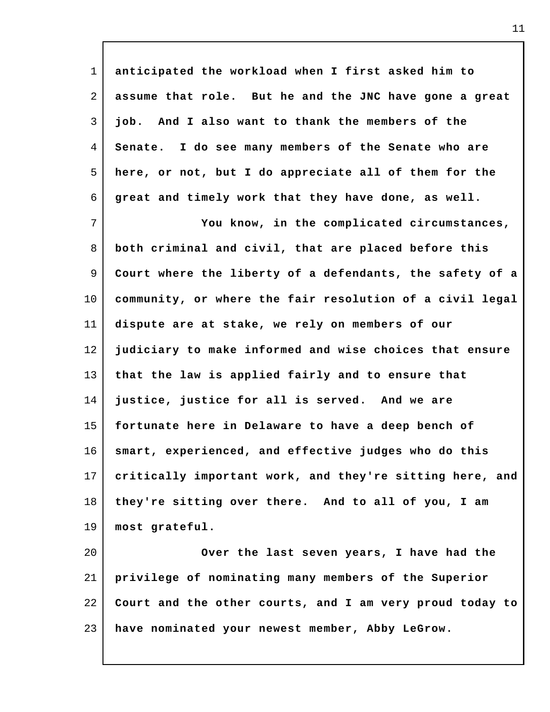| $\mathbf{1}$   | anticipated the workload when I first asked him to       |
|----------------|----------------------------------------------------------|
| $\overline{2}$ | assume that role. But he and the JNC have gone a great   |
| 3              | And I also want to thank the members of the<br>job.      |
| 4              | Senate. I do see many members of the Senate who are      |
| 5              | here, or not, but I do appreciate all of them for the    |
| 6              | great and timely work that they have done, as well.      |
| $\overline{7}$ | You know, in the complicated circumstances,              |
| 8              | both criminal and civil, that are placed before this     |
| 9              | Court where the liberty of a defendants, the safety of a |
| $10 \,$        | community, or where the fair resolution of a civil legal |
| 11             | dispute are at stake, we rely on members of our          |
| 12             | judiciary to make informed and wise choices that ensure  |
| 13             | that the law is applied fairly and to ensure that        |
| 14             | justice, justice for all is served. And we are           |
| 15             | fortunate here in Delaware to have a deep bench of       |
| 16             | smart, experienced, and effective judges who do this     |
| 17             | critically important work, and they're sitting here, and |
| 18             | they're sitting over there. And to all of you, I am      |
| 19             | most grateful.                                           |
| 20             | Over the last seven years, I have had the                |
| 21             | privilege of nominating many members of the Superior     |
| 22             | Court and the other courts, and I am very proud today to |
| 23             | have nominated your newest member, Abby LeGrow.          |

I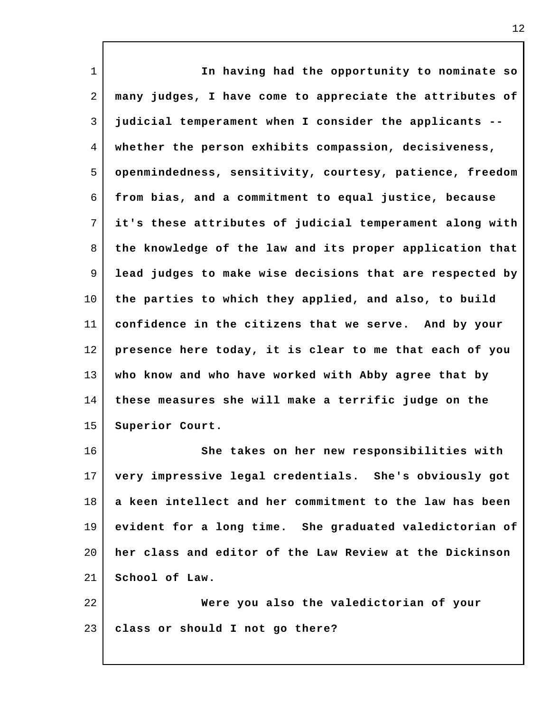1 2 3 4 5 6 7 8 9 10 11 12 13 14 15 16 17 18 19 20 21 22 23 **In having had the opportunity to nominate so many judges, I have come to appreciate the attributes of judicial temperament when I consider the applicants - whether the person exhibits compassion, decisiveness, openmindedness, sensitivity, courtesy, patience, freedom from bias, and a commitment to equal justice, because it's these attributes of judicial temperament along with the knowledge of the law and its proper application that lead judges to make wise decisions that are respected by the parties to which they applied, and also, to build confidence in the citizens that we serve. And by your presence here today, it is clear to me that each of you who know and who have worked with Abby agree that by these measures she will make a terrific judge on the Superior Court. She takes on her new responsibilities with very impressive legal credentials. She's obviously got a keen intellect and her commitment to the law has been evident for a long time. She graduated valedictorian of her class and editor of the Law Review at the Dickinson School of Law. Were you also the valedictorian of your class or should I not go there?**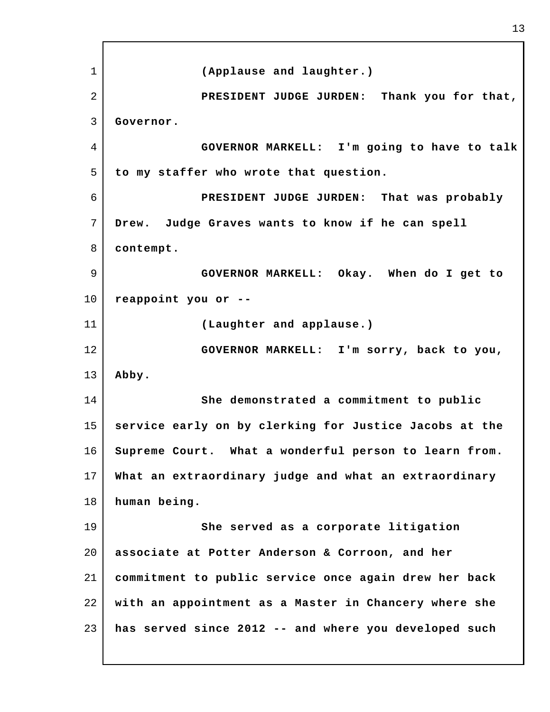1 2 3 4 5 6 7 8 9 10 11 12 13 14 15 16 17 18 19 20 21 22 23 **(Applause and laughter.) PRESIDENT JUDGE JURDEN: Thank you for that, Governor. GOVERNOR MARKELL: I'm going to have to talk to my staffer who wrote that question. PRESIDENT JUDGE JURDEN: That was probably Drew. Judge Graves wants to know if he can spell contempt. GOVERNOR MARKELL: Okay. When do I get to reappoint you or -- (Laughter and applause.) GOVERNOR MARKELL: I'm sorry, back to you, Abby. She demonstrated a commitment to public service early on by clerking for Justice Jacobs at the Supreme Court. What a wonderful person to learn from. What an extraordinary judge and what an extraordinary human being. She served as a corporate litigation associate at Potter Anderson & Corroon, and her commitment to public service once again drew her back with an appointment as a Master in Chancery where she has served since 2012 -- and where you developed such**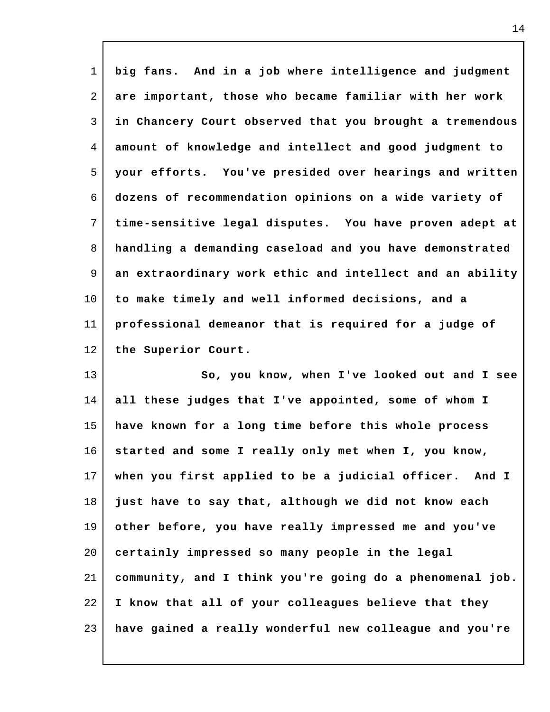| $\mathbf 1$ | big fans. And in a job where intelligence and judgment   |
|-------------|----------------------------------------------------------|
| 2           | are important, those who became familiar with her work   |
| 3           | in Chancery Court observed that you brought a tremendous |
| 4           | amount of knowledge and intellect and good judgment to   |
| 5           | your efforts. You've presided over hearings and written  |
| 6           | dozens of recommendation opinions on a wide variety of   |
| 7           | time-sensitive legal disputes. You have proven adept at  |
| 8           | handling a demanding caseload and you have demonstrated  |
| 9           | an extraordinary work ethic and intellect and an ability |
| $10 \,$     | to make timely and well informed decisions, and a        |
| 11          | professional demeanor that is required for a judge of    |
| 12          | the Superior Court.                                      |
| 13          | So, you know, when I've looked out and I see             |
| 14          | all these judges that I've appointed, some of whom I     |
| 15          | have known for a long time before this whole process     |
| 16          | started and some I really only met when I, you know,     |
| 17          | when you first applied to be a judicial officer. And I   |
| 18          | just have to say that, although we did not know each     |
| 19          | other before, you have really impressed me and you've    |
| 20          | certainly impressed so many people in the legal          |
| 21          | community, and I think you're going do a phenomenal job. |
| 22          | I know that all of your colleagues believe that they     |
| 23          | have gained a really wonderful new colleague and you're  |

 $\mathsf{l}$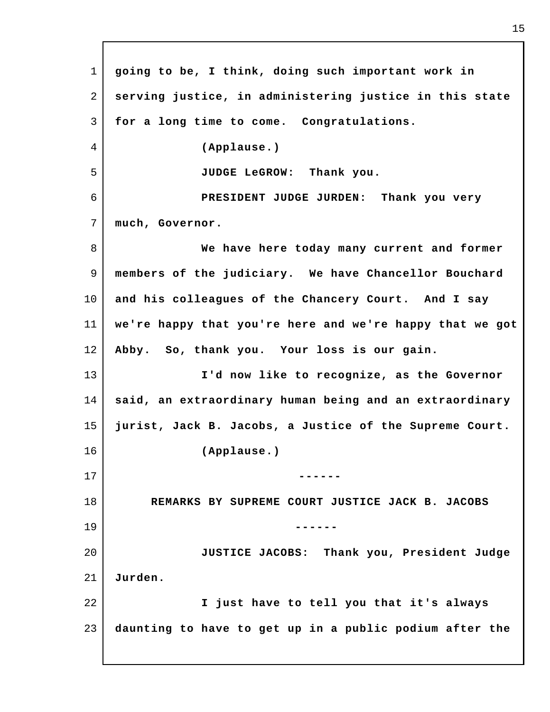1 2 3 4 5 6 7 8 9 10 11 12 13 14 15 16 17 18 19 20 21 22 23 **going to be, I think, doing such important work in serving justice, in administering justice in this state for a long time to come. Congratulations. (Applause.) JUDGE LeGROW: Thank you. PRESIDENT JUDGE JURDEN: Thank you very much, Governor. We have here today many current and former members of the judiciary. We have Chancellor Bouchard and his colleagues of the Chancery Court. And I say we're happy that you're here and we're happy that we got Abby. So, thank you. Your loss is our gain. I'd now like to recognize, as the Governor said, an extraordinary human being and an extraordinary jurist, Jack B. Jacobs, a Justice of the Supreme Court. (Applause.) ------ REMARKS BY SUPREME COURT JUSTICE JACK B. JACOBS ------ JUSTICE JACOBS: Thank you, President Judge Jurden. I just have to tell you that it's always daunting to have to get up in a public podium after the**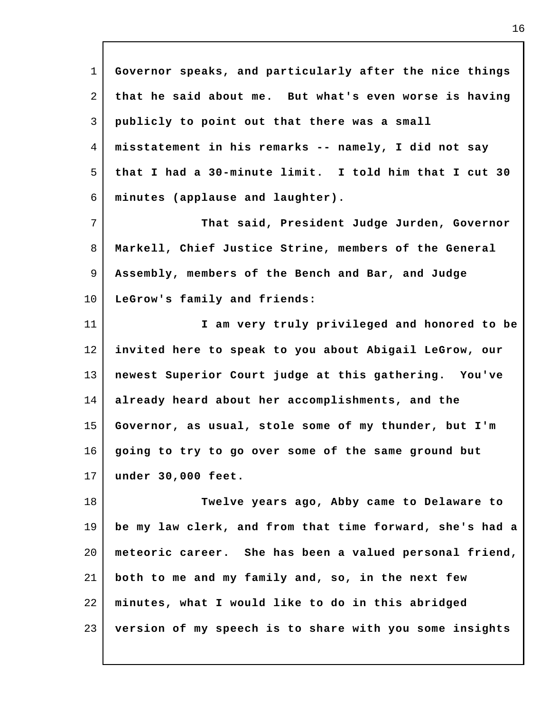| $\mathbf 1$ | Governor speaks, and particularly after the nice things  |
|-------------|----------------------------------------------------------|
| 2           | that he said about me. But what's even worse is having   |
| 3           | publicly to point out that there was a small             |
| 4           | misstatement in his remarks -- namely, I did not say     |
| 5           | that I had a 30-minute limit. I told him that I cut 30   |
| 6           | minutes (applause and laughter).                         |
| 7           | That said, President Judge Jurden, Governor              |
| 8           | Markell, Chief Justice Strine, members of the General    |
| 9           | Assembly, members of the Bench and Bar, and Judge        |
| $10 \,$     | LeGrow's family and friends:                             |
| 11          | I am very truly privileged and honored to be             |
| 12          | invited here to speak to you about Abigail LeGrow, our   |
| 13          | newest Superior Court judge at this gathering. You've    |
| 14          | already heard about her accomplishments, and the         |
| 15          | Governor, as usual, stole some of my thunder, but I'm    |
| 16          | going to try to go over some of the same ground but      |
| 17          | under 30,000 feet.                                       |
| 18          | Twelve years ago, Abby came to Delaware to               |
| 19          | be my law clerk, and from that time forward, she's had a |
| 20          | meteoric career. She has been a valued personal friend,  |
| 21          | both to me and my family and, so, in the next few        |
| 22          | minutes, what I would like to do in this abridged        |
| 23          | version of my speech is to share with you some insights  |

I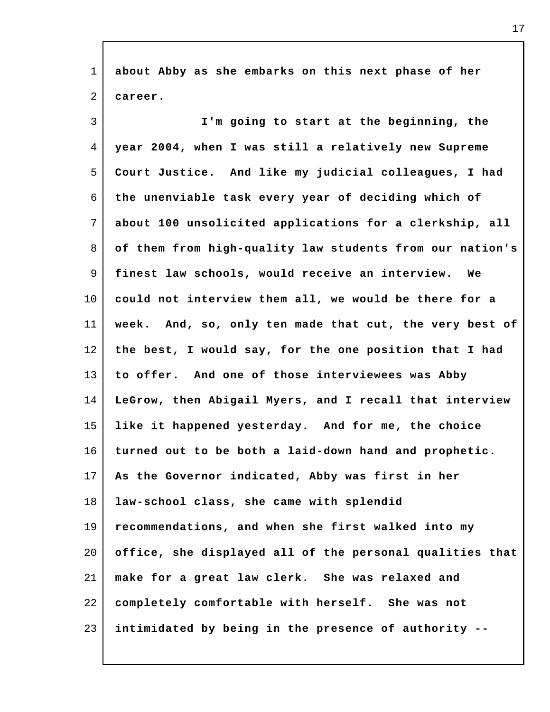| $\mathbf{1}$ | about Abby as she embarks on this next phase of her      |
|--------------|----------------------------------------------------------|
| 2            | career.                                                  |
| 3            | I'm going to start at the beginning, the                 |
| 4            | year 2004, when I was still a relatively new Supreme     |
| 5            | Court Justice. And like my judicial colleagues, I had    |
| 6            | the unenviable task every year of deciding which of      |
| 7            | about 100 unsolicited applications for a clerkship, all  |
| 8            | of them from high-quality law students from our nation's |
| 9            | finest law schools, would receive an interview. We       |
| $10 \,$      | could not interview them all, we would be there for a    |
| 11           | week. And, so, only ten made that cut, the very best of  |
| 12           | the best, I would say, for the one position that I had   |
| 13           | to offer. And one of those interviewees was Abby         |
| 14           | LeGrow, then Abigail Myers, and I recall that interview  |
| 15           | like it happened yesterday. And for me, the choice       |
| 16           | turned out to be both a laid-down hand and prophetic.    |
| 17           | As the Governor indicated, Abby was first in her         |
| 18           | law-school class, she came with splendid                 |
| 19           | recommendations, and when she first walked into my       |
| 20           | office, she displayed all of the personal qualities that |
| 21           | make for a great law clerk. She was relaxed and          |
| 22           | completely comfortable with herself. She was not         |
| 23           | intimidated by being in the presence of authority --     |

 $\Gamma$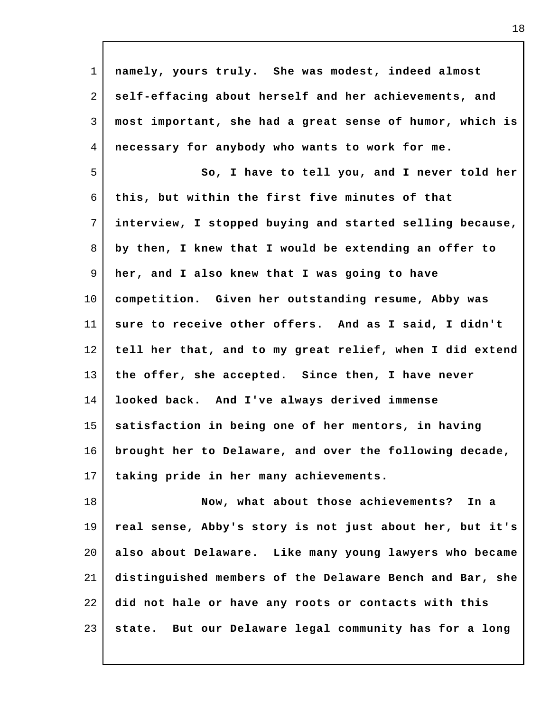| $\mathbf{1}$ | namely, yours truly. She was modest, indeed almost       |
|--------------|----------------------------------------------------------|
| 2            | self-effacing about herself and her achievements, and    |
| 3            | most important, she had a great sense of humor, which is |
| 4            | necessary for anybody who wants to work for me.          |
| 5            | So, I have to tell you, and I never told her             |
| 6            | this, but within the first five minutes of that          |
| 7            | interview, I stopped buying and started selling because, |
| 8            | by then, I knew that I would be extending an offer to    |
| 9            | her, and I also knew that I was going to have            |
| $10 \,$      | competition. Given her outstanding resume, Abby was      |
| 11           | sure to receive other offers. And as I said, I didn't    |
| 12           | tell her that, and to my great relief, when I did extend |
| 13           | the offer, she accepted. Since then, I have never        |
| 14           | looked back. And I've always derived immense             |
| 15           | satisfaction in being one of her mentors, in having      |
| 16           | brought her to Delaware, and over the following decade,  |
| 17           | taking pride in her many achievements.                   |
| 18           | Now, what about those achievements? In a                 |
| 19           | real sense, Abby's story is not just about her, but it's |
| 20           | also about Delaware. Like many young lawyers who became  |
| 21           | distinguished members of the Delaware Bench and Bar, she |
| 22           | did not hale or have any roots or contacts with this     |
| 23           | state. But our Delaware legal community has for a long   |

 $\mathsf{l}$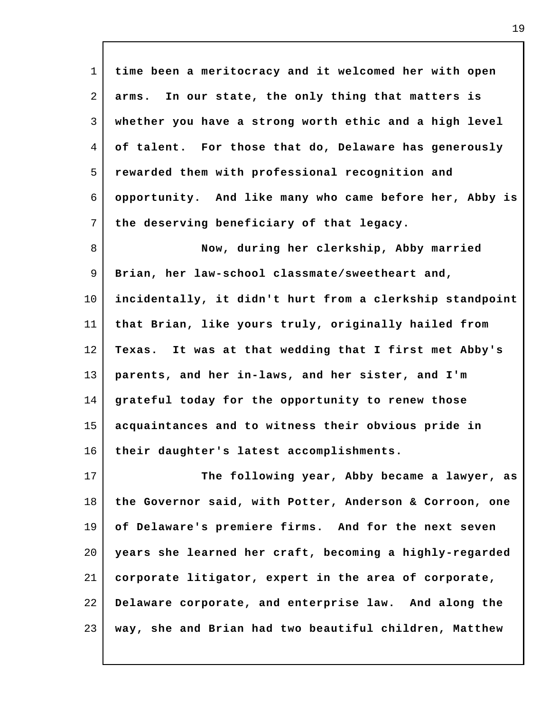1 2 3 4 5 6 7 8 9 10 11 12 13 14 15 16 17 18 19 20 21 22 23 **time been a meritocracy and it welcomed her with open arms. In our state, the only thing that matters is whether you have a strong worth ethic and a high level of talent. For those that do, Delaware has generously rewarded them with professional recognition and opportunity. And like many who came before her, Abby is the deserving beneficiary of that legacy. Now, during her clerkship, Abby married Brian, her law-school classmate/sweetheart and, incidentally, it didn't hurt from a clerkship standpoint that Brian, like yours truly, originally hailed from Texas. It was at that wedding that I first met Abby's parents, and her in-laws, and her sister, and I'm grateful today for the opportunity to renew those acquaintances and to witness their obvious pride in their daughter's latest accomplishments. The following year, Abby became a lawyer, as the Governor said, with Potter, Anderson & Corroon, one of Delaware's premiere firms. And for the next seven years she learned her craft, becoming a highly-regarded corporate litigator, expert in the area of corporate, Delaware corporate, and enterprise law. And along the way, she and Brian had two beautiful children, Matthew**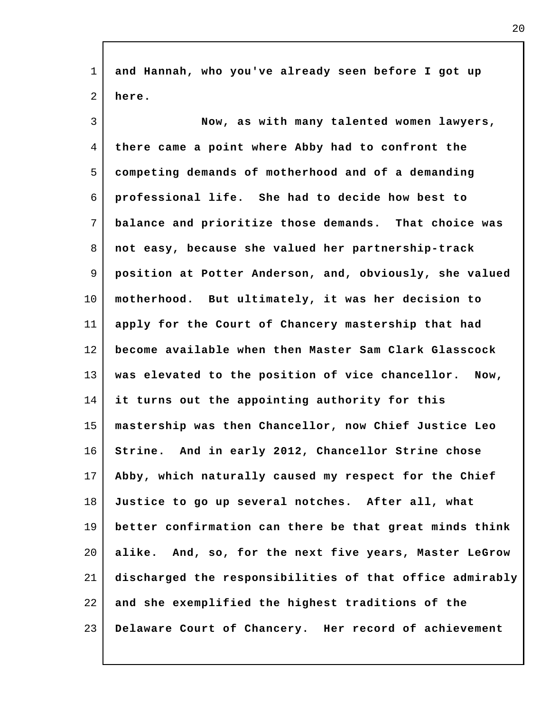1 2 3 4 5 6 7 8 9 10 11 12 13 14 15 16 17 18 19 20 21 22 23 **and Hannah, who you've already seen before I got up here. Now, as with many talented women lawyers, there came a point where Abby had to confront the competing demands of motherhood and of a demanding professional life. She had to decide how best to balance and prioritize those demands. That choice was not easy, because she valued her partnership-track position at Potter Anderson, and, obviously, she valued motherhood. But ultimately, it was her decision to apply for the Court of Chancery mastership that had become available when then Master Sam Clark Glasscock was elevated to the position of vice chancellor. Now, it turns out the appointing authority for this mastership was then Chancellor, now Chief Justice Leo Strine. And in early 2012, Chancellor Strine chose Abby, which naturally caused my respect for the Chief Justice to go up several notches. After all, what better confirmation can there be that great minds think alike. And, so, for the next five years, Master LeGrow discharged the responsibilities of that office admirably and she exemplified the highest traditions of the Delaware Court of Chancery. Her record of achievement**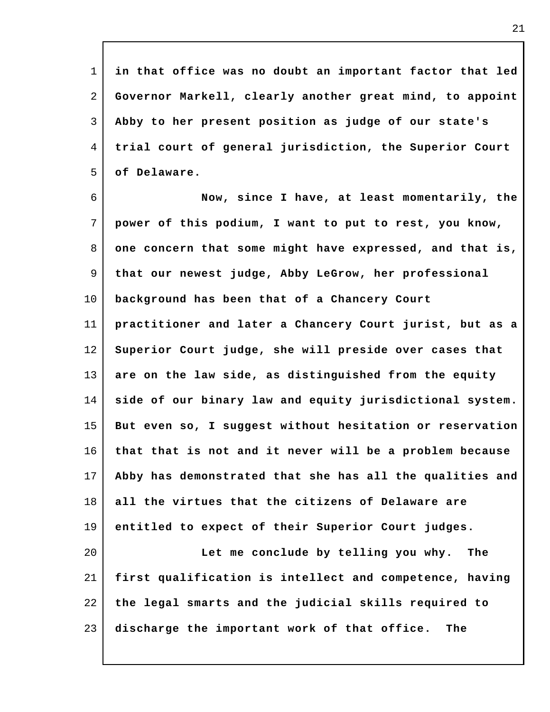1 2 3 4 5 **in that office was no doubt an important factor that led Governor Markell, clearly another great mind, to appoint Abby to her present position as judge of our state's trial court of general jurisdiction, the Superior Court of Delaware.**

6 7 8 9 10 11 12 13 14 15 16 17 18 19 20 21 **Now, since I have, at least momentarily, the power of this podium, I want to put to rest, you know, one concern that some might have expressed, and that is, that our newest judge, Abby LeGrow, her professional background has been that of a Chancery Court practitioner and later a Chancery Court jurist, but as a Superior Court judge, she will preside over cases that are on the law side, as distinguished from the equity side of our binary law and equity jurisdictional system. But even so, I suggest without hesitation or reservation that that is not and it never will be a problem because Abby has demonstrated that she has all the qualities and all the virtues that the citizens of Delaware are entitled to expect of their Superior Court judges. Let me conclude by telling you why. The first qualification is intellect and competence, having the legal smarts and the judicial skills required to**

23 **discharge the important work of that office. The**

22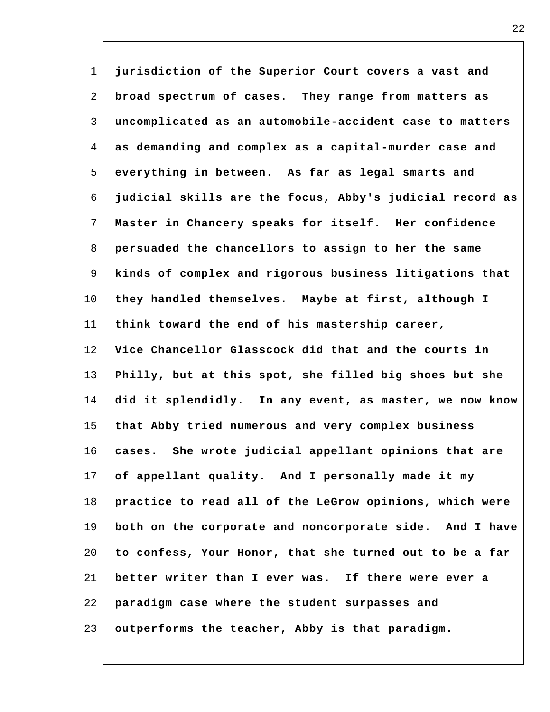1 2 3 4 5 6 7 8 9 10 11 12 13 14 15 16 17 18 19 20 21 22 23 **jurisdiction of the Superior Court covers a vast and broad spectrum of cases. They range from matters as uncomplicated as an automobile-accident case to matters as demanding and complex as a capital-murder case and everything in between. As far as legal smarts and judicial skills are the focus, Abby's judicial record as Master in Chancery speaks for itself. Her confidence persuaded the chancellors to assign to her the same kinds of complex and rigorous business litigations that they handled themselves. Maybe at first, although I think toward the end of his mastership career, Vice Chancellor Glasscock did that and the courts in Philly, but at this spot, she filled big shoes but she did it splendidly. In any event, as master, we now know that Abby tried numerous and very complex business cases. She wrote judicial appellant opinions that are of appellant quality. And I personally made it my practice to read all of the LeGrow opinions, which were both on the corporate and noncorporate side. And I have to confess, Your Honor, that she turned out to be a far better writer than I ever was. If there were ever a paradigm case where the student surpasses and outperforms the teacher, Abby is that paradigm.**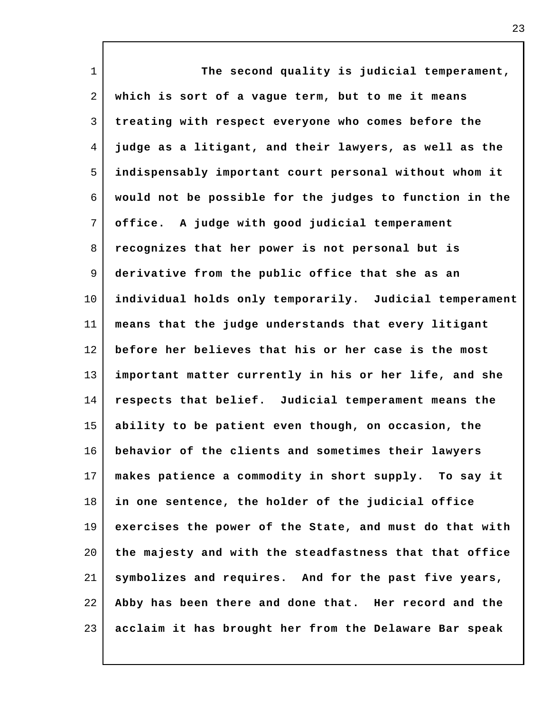| $\mathbf{1}$ | The second quality is judicial temperament,             |
|--------------|---------------------------------------------------------|
| 2            | which is sort of a vague term, but to me it means       |
| 3            | treating with respect everyone who comes before the     |
| 4            | judge as a litigant, and their lawyers, as well as the  |
| 5            | indispensably important court personal without whom it  |
| 6            | would not be possible for the judges to function in the |
| 7            | office. A judge with good judicial temperament          |
| 8            | recognizes that her power is not personal but is        |
| 9            | derivative from the public office that she as an        |
| 10           | individual holds only temporarily. Judicial temperament |
| 11           | means that the judge understands that every litigant    |
| 12           | before her believes that his or her case is the most    |
| 13           | important matter currently in his or her life, and she  |
| 14           | respects that belief. Judicial temperament means the    |
| 15           | ability to be patient even though, on occasion, the     |
| 16           | behavior of the clients and sometimes their lawyers     |
| 17           | makes patience a commodity in short supply. To say it   |
| 18           | in one sentence, the holder of the judicial office      |
| 19           | exercises the power of the State, and must do that with |
| 20           | the majesty and with the steadfastness that that office |
| 21           | symbolizes and requires. And for the past five years,   |
| 22           | Abby has been there and done that. Her record and the   |
| 23           | acclaim it has brought her from the Delaware Bar speak  |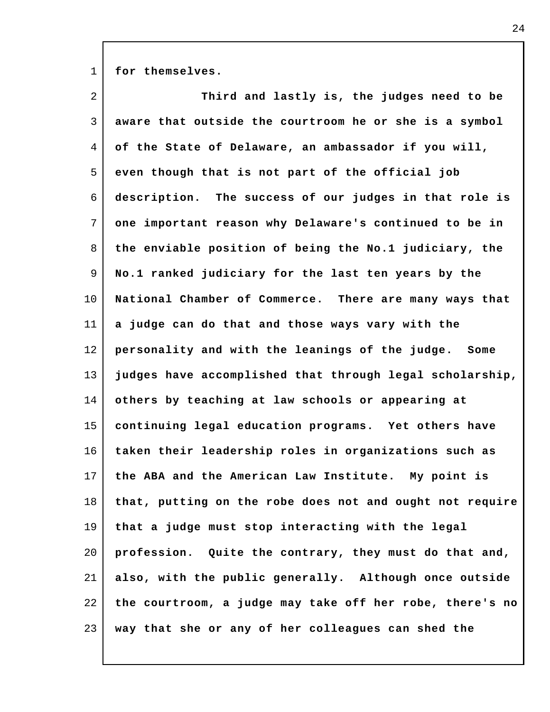1 **for themselves.**

| $\overline{a}$ | Third and lastly is, the judges need to be               |
|----------------|----------------------------------------------------------|
| 3              | aware that outside the courtroom he or she is a symbol   |
| 4              | of the State of Delaware, an ambassador if you will,     |
| 5              | even though that is not part of the official job         |
| 6              | description. The success of our judges in that role is   |
| 7              | one important reason why Delaware's continued to be in   |
| 8              | the enviable position of being the No.1 judiciary, the   |
| 9              | No.1 ranked judiciary for the last ten years by the      |
| 10             | National Chamber of Commerce. There are many ways that   |
| 11             | a judge can do that and those ways vary with the         |
| 12             | personality and with the leanings of the judge. Some     |
| 13             | judges have accomplished that through legal scholarship, |
| 14             | others by teaching at law schools or appearing at        |
| 15             | continuing legal education programs. Yet others have     |
| 16             | taken their leadership roles in organizations such as    |
| 17             | the ABA and the American Law Institute. My point is      |
| 18             | that, putting on the robe does not and ought not require |
| 19             | that a judge must stop interacting with the legal        |
| 20             | profession. Quite the contrary, they must do that and,   |
| 21             | also, with the public generally. Although once outside   |
| 22             | the courtroom, a judge may take off her robe, there's no |
| 23             | way that she or any of her colleagues can shed the       |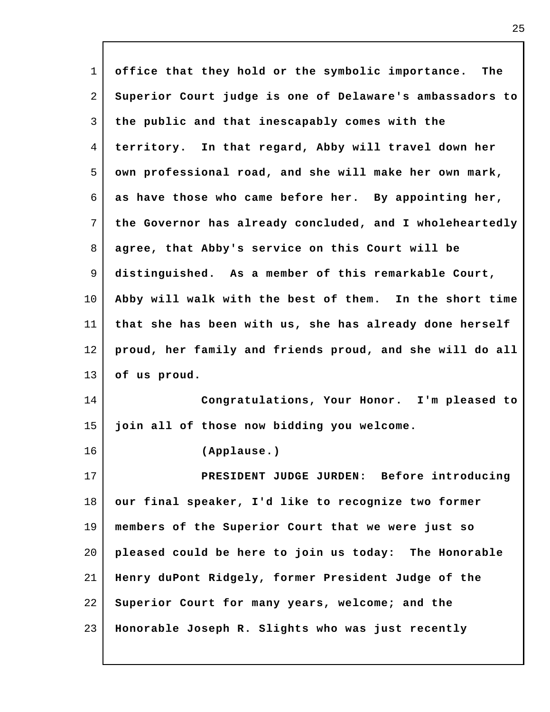1 2 3 4 5 6 7 8 9 10 11 12 13 14 15 16 17 18 19 20 21 22 23 **office that they hold or the symbolic importance. The Superior Court judge is one of Delaware's ambassadors to the public and that inescapably comes with the territory. In that regard, Abby will travel down her own professional road, and she will make her own mark, as have those who came before her. By appointing her, the Governor has already concluded, and I wholeheartedly agree, that Abby's service on this Court will be distinguished. As a member of this remarkable Court, Abby will walk with the best of them. In the short time that she has been with us, she has already done herself proud, her family and friends proud, and she will do all of us proud. Congratulations, Your Honor. I'm pleased to join all of those now bidding you welcome. (Applause.) PRESIDENT JUDGE JURDEN: Before introducing our final speaker, I'd like to recognize two former members of the Superior Court that we were just so pleased could be here to join us today: The Honorable Henry duPont Ridgely, former President Judge of the Superior Court for many years, welcome; and the Honorable Joseph R. Slights who was just recently**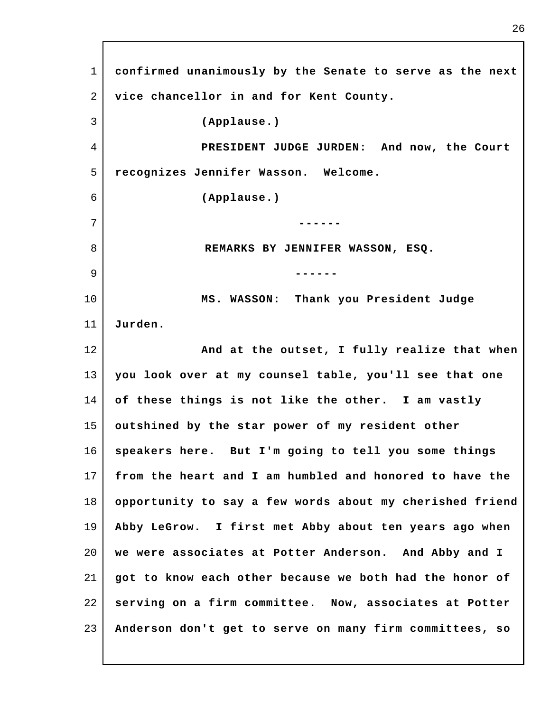1 2 3 4 5 6 7 8 9 10 11 12 13 14 15 16 17 18 19 20 21 22 23 **confirmed unanimously by the Senate to serve as the next vice chancellor in and for Kent County. (Applause.) PRESIDENT JUDGE JURDEN: And now, the Court recognizes Jennifer Wasson. Welcome. (Applause.) ------ REMARKS BY JENNIFER WASSON, ESQ. ------ MS. WASSON: Thank you President Judge Jurden. And at the outset, I fully realize that when you look over at my counsel table, you'll see that one of these things is not like the other. I am vastly outshined by the star power of my resident other speakers here. But I'm going to tell you some things from the heart and I am humbled and honored to have the opportunity to say a few words about my cherished friend Abby LeGrow. I first met Abby about ten years ago when we were associates at Potter Anderson. And Abby and I got to know each other because we both had the honor of serving on a firm committee. Now, associates at Potter Anderson don't get to serve on many firm committees, so**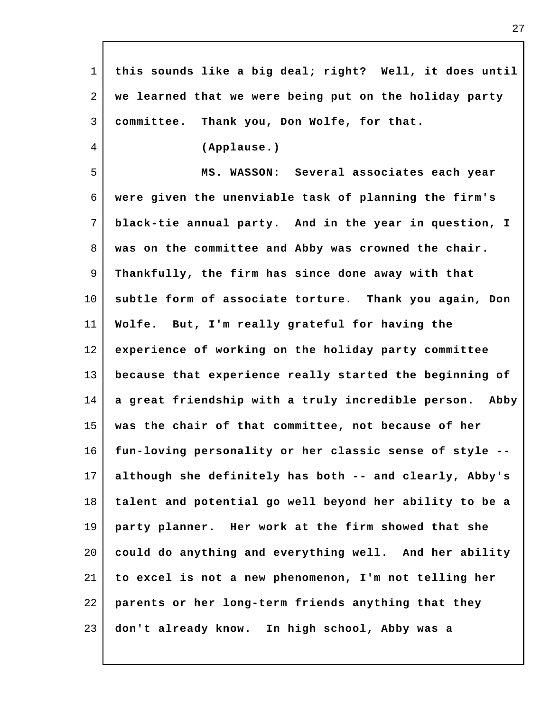| $\mathbf 1$ | this sounds like a big deal; right? Well, it does until |
|-------------|---------------------------------------------------------|
| 2           | we learned that we were being put on the holiday party  |
| 3           | committee. Thank you, Don Wolfe, for that.              |
| 4           | (Applause.)                                             |
| 5           | MS. WASSON: Several associates each year                |
| 6           | were given the unenviable task of planning the firm's   |
| 7           | black-tie annual party. And in the year in question, I  |
| 8           | was on the committee and Abby was crowned the chair.    |
| 9           | Thankfully, the firm has since done away with that      |
| $10 \,$     | subtle form of associate torture. Thank you again, Don  |
| 11          | Wolfe. But, I'm really grateful for having the          |
| 12          | experience of working on the holiday party committee    |
| 13          | because that experience really started the beginning of |
| 14          | a great friendship with a truly incredible person. Abby |
| 15          | was the chair of that committee, not because of her     |
| 16          | fun-loving personality or her classic sense of style -- |
| 17          | although she definitely has both -- and clearly, Abby's |
| 18          | talent and potential go well beyond her ability to be a |
| 19          | party planner. Her work at the firm showed that she     |
| 20          | could do anything and everything well. And her ability  |
| 21          | to excel is not a new phenomenon, I'm not telling her   |
| 22          | parents or her long-term friends anything that they     |
| 23          | don't already know. In high school, Abby was a          |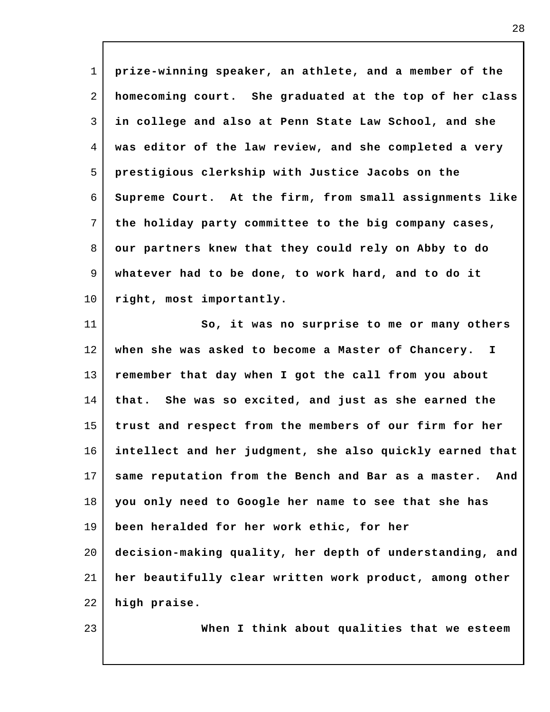1 2 3 4 5 6 7 8 9 10 11 12 13 14 15 16 17 18 19 20 21 22 23 **prize-winning speaker, an athlete, and a member of the homecoming court. She graduated at the top of her class in college and also at Penn State Law School, and she was editor of the law review, and she completed a very prestigious clerkship with Justice Jacobs on the Supreme Court. At the firm, from small assignments like the holiday party committee to the big company cases, our partners knew that they could rely on Abby to do whatever had to be done, to work hard, and to do it right, most importantly. So, it was no surprise to me or many others when she was asked to become a Master of Chancery. I remember that day when I got the call from you about that. She was so excited, and just as she earned the trust and respect from the members of our firm for her intellect and her judgment, she also quickly earned that same reputation from the Bench and Bar as a master. And you only need to Google her name to see that she has been heralded for her work ethic, for her decision-making quality, her depth of understanding, and her beautifully clear written work product, among other high praise. When I think about qualities that we esteem**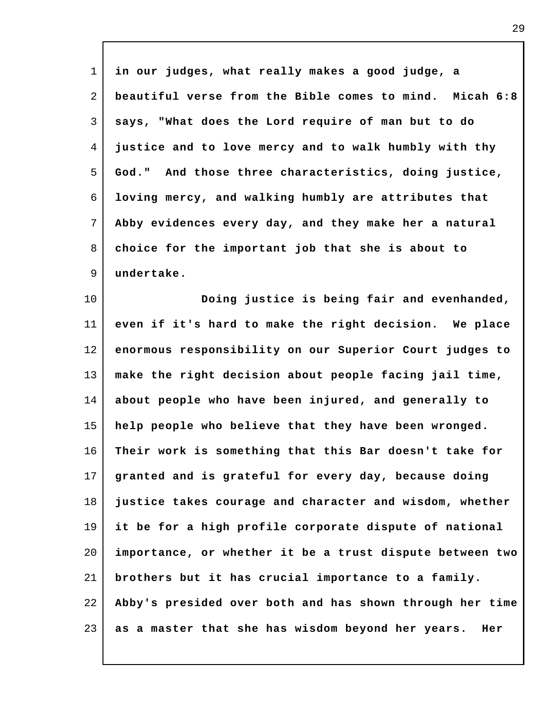| $\mathbf{1}$ | in our judges, what really makes a good judge, a         |
|--------------|----------------------------------------------------------|
| 2            | beautiful verse from the Bible comes to mind. Micah 6:8  |
| 3            | says, "What does the Lord require of man but to do       |
| 4            | justice and to love mercy and to walk humbly with thy    |
| 5            | God." And those three characteristics, doing justice,    |
| 6            | loving mercy, and walking humbly are attributes that     |
| 7            | Abby evidences every day, and they make her a natural    |
| 8            | choice for the important job that she is about to        |
| 9            | undertake.                                               |
| 10           | Doing justice is being fair and evenhanded,              |
| 11           | even if it's hard to make the right decision. We place   |
| 12           | enormous responsibility on our Superior Court judges to  |
| 13           | make the right decision about people facing jail time,   |
| 14           | about people who have been injured, and generally to     |
| 15           | help people who believe that they have been wronged.     |
| 16           | Their work is something that this Bar doesn't take for   |
| 17           | granted and is grateful for every day, because doing     |
| 18           | justice takes courage and character and wisdom, whether  |
| 19           | it be for a high profile corporate dispute of national   |
| 20           | importance, or whether it be a trust dispute between two |
| 21           | brothers but it has crucial importance to a family.      |
| 22           | Abby's presided over both and has shown through her time |
| 23           | as a master that she has wisdom beyond her years.<br>Her |

 $\mathsf{l}$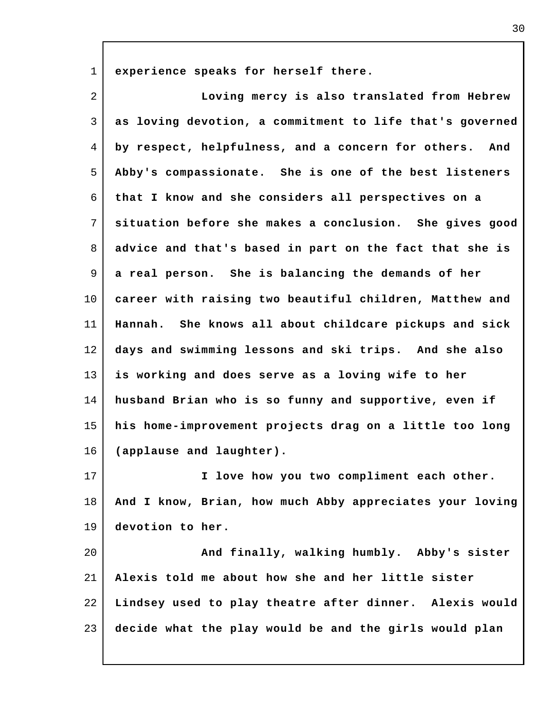1 **experience speaks for herself there.**

2 3 4 5 6 7 8 9 10 11 12 13 14 15 16 17 18 19 20 21 22 23 **Loving mercy is also translated from Hebrew as loving devotion, a commitment to life that's governed by respect, helpfulness, and a concern for others. And Abby's compassionate. She is one of the best listeners that I know and she considers all perspectives on a situation before she makes a conclusion. She gives good advice and that's based in part on the fact that she is a real person. She is balancing the demands of her career with raising two beautiful children, Matthew and Hannah. She knows all about childcare pickups and sick days and swimming lessons and ski trips. And she also is working and does serve as a loving wife to her husband Brian who is so funny and supportive, even if his home-improvement projects drag on a little too long (applause and laughter). I love how you two compliment each other. And I know, Brian, how much Abby appreciates your loving devotion to her. And finally, walking humbly. Abby's sister Alexis told me about how she and her little sister Lindsey used to play theatre after dinner. Alexis would decide what the play would be and the girls would plan**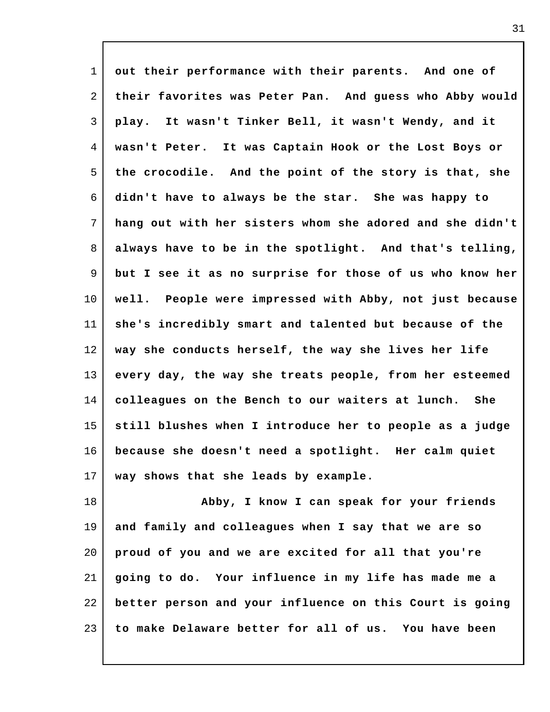| $\mathbf{1}$   | out their performance with their parents. And one of     |
|----------------|----------------------------------------------------------|
| $\overline{2}$ | their favorites was Peter Pan. And guess who Abby would  |
| 3              | play. It wasn't Tinker Bell, it wasn't Wendy, and it     |
| 4              | wasn't Peter.<br>It was Captain Hook or the Lost Boys or |
| 5              | the crocodile. And the point of the story is that, she   |
| 6              | didn't have to always be the star. She was happy to      |
| 7              | hang out with her sisters whom she adored and she didn't |
| 8              | always have to be in the spotlight. And that's telling,  |
| 9              | but I see it as no surprise for those of us who know her |
| $10 \,$        | well. People were impressed with Abby, not just because  |
| 11             | she's incredibly smart and talented but because of the   |
| 12             | way she conducts herself, the way she lives her life     |
| 13             | every day, the way she treats people, from her esteemed  |
| 14             | colleagues on the Bench to our waiters at lunch.<br>She  |
| 15             | still blushes when I introduce her to people as a judge  |
| 16             | because she doesn't need a spotlight. Her calm quiet     |
| 17             | way shows that she leads by example.                     |
| 18             | Abby, I know I can speak for your friends                |
| 19             | and family and colleagues when I say that we are so      |
| 20             | proud of you and we are excited for all that you're      |
|                |                                                          |

22 23 **better person and your influence on this Court is going to make Delaware better for all of us. You have been**

**going to do. Your influence in my life has made me a**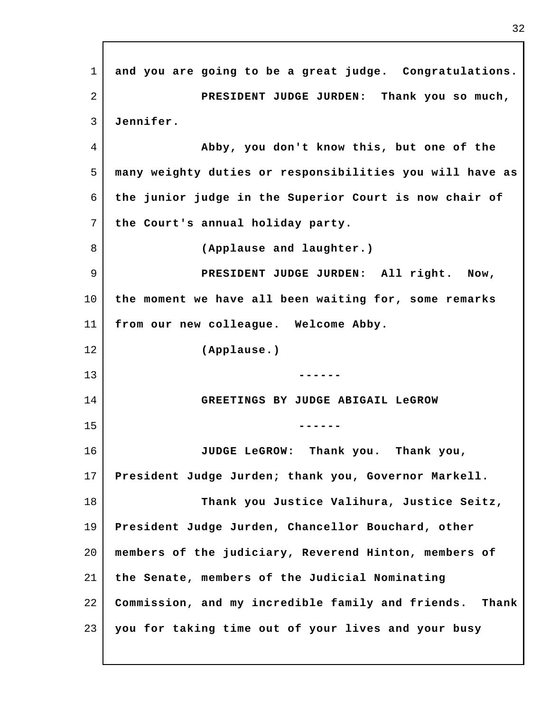1 2 3 4 5 6 7 8 9 10 11 12 13 14 15 16 17 18 19 20 21 22 23 **and you are going to be a great judge. Congratulations. PRESIDENT JUDGE JURDEN: Thank you so much, Jennifer. Abby, you don't know this, but one of the many weighty duties or responsibilities you will have as the junior judge in the Superior Court is now chair of the Court's annual holiday party. (Applause and laughter.) PRESIDENT JUDGE JURDEN: All right. Now, the moment we have all been waiting for, some remarks from our new colleague. Welcome Abby. (Applause.) ------ GREETINGS BY JUDGE ABIGAIL LeGROW ------ JUDGE LeGROW: Thank you. Thank you, President Judge Jurden; thank you, Governor Markell. Thank you Justice Valihura, Justice Seitz, President Judge Jurden, Chancellor Bouchard, other members of the judiciary, Reverend Hinton, members of the Senate, members of the Judicial Nominating Commission, and my incredible family and friends. Thank you for taking time out of your lives and your busy**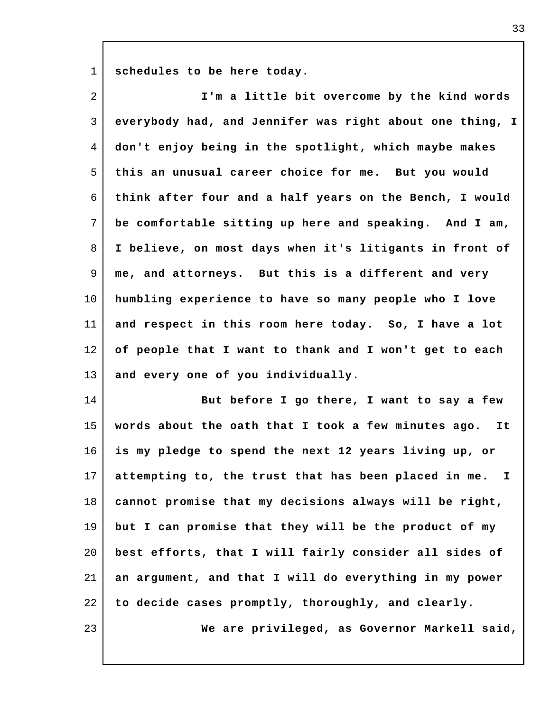1 **schedules to be here today.**

| $\overline{2}$ | I'm a little bit overcome by the kind words              |
|----------------|----------------------------------------------------------|
| 3              | everybody had, and Jennifer was right about one thing, I |
| 4              | don't enjoy being in the spotlight, which maybe makes    |
| 5              | this an unusual career choice for me. But you would      |
| 6              | think after four and a half years on the Bench, I would  |
| 7              | be comfortable sitting up here and speaking. And I am,   |
| 8              | I believe, on most days when it's litigants in front of  |
| 9              | me, and attorneys. But this is a different and very      |
| 10             | humbling experience to have so many people who I love    |
| 11             | and respect in this room here today. So, I have a lot    |
| 12             | of people that I want to thank and I won't get to each   |
| 13             | and every one of you individually.                       |
| 14             | But before I go there, I want to say a few               |
| 15             | words about the oath that I took a few minutes ago. It   |
| 16             | is my pledge to spend the next 12 years living up, or    |
| 17             | attempting to, the trust that has been placed in me. I   |
| 18             | cannot promise that my decisions always will be right,   |
| 19             | but I can promise that they will be the product of my    |
| 20             | best efforts, that I will fairly consider all sides of   |
| 21             | an argument, and that I will do everything in my power   |
| 22             | to decide cases promptly, thoroughly, and clearly.       |
| 23             | We are privileged, as Governor Markell said,             |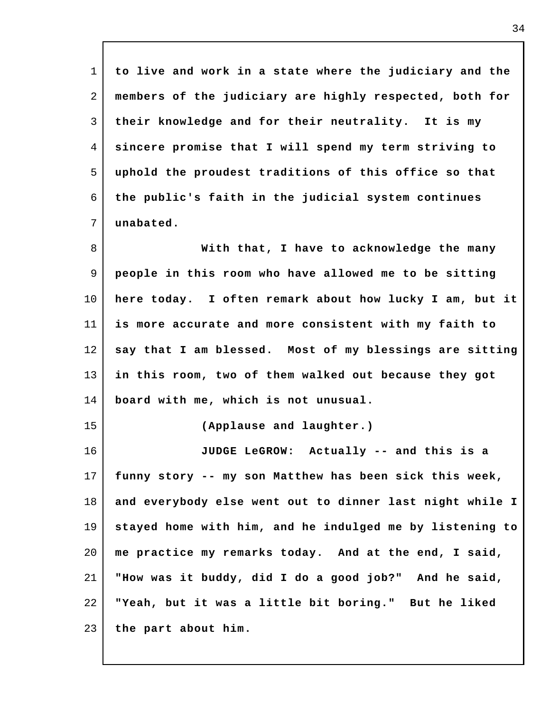1 2 3 4 5 6 7 8 9 10 11 12 13 14 15 16 17 18 19 20 21 22 23 **to live and work in a state where the judiciary and the members of the judiciary are highly respected, both for their knowledge and for their neutrality. It is my sincere promise that I will spend my term striving to uphold the proudest traditions of this office so that the public's faith in the judicial system continues unabated. With that, I have to acknowledge the many people in this room who have allowed me to be sitting here today. I often remark about how lucky I am, but it is more accurate and more consistent with my faith to say that I am blessed. Most of my blessings are sitting in this room, two of them walked out because they got board with me, which is not unusual. (Applause and laughter.) JUDGE LeGROW: Actually -- and this is a funny story -- my son Matthew has been sick this week, and everybody else went out to dinner last night while I stayed home with him, and he indulged me by listening to me practice my remarks today. And at the end, I said, "How was it buddy, did I do a good job?" And he said, "Yeah, but it was a little bit boring." But he liked the part about him.**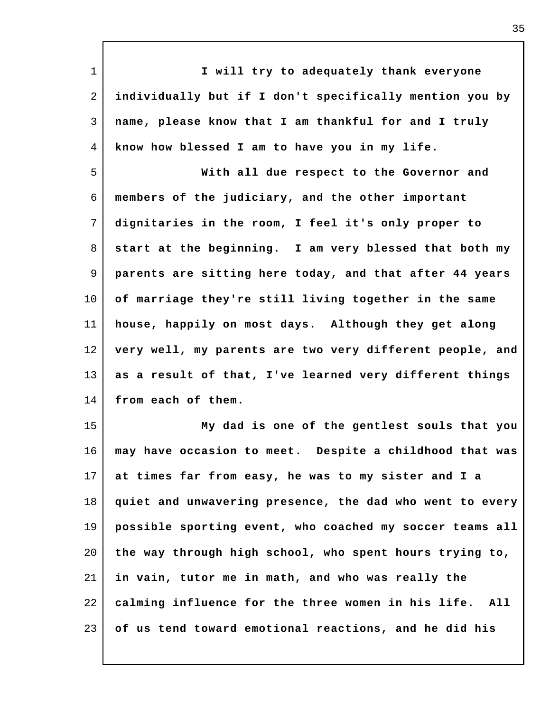| I will try to adequately thank everyone                   |
|-----------------------------------------------------------|
| individually but if I don't specifically mention you by   |
| name, please know that I am thankful for and I truly      |
| know how blessed I am to have you in my life.             |
| With all due respect to the Governor and                  |
| members of the judiciary, and the other important         |
| dignitaries in the room, I feel it's only proper to       |
| start at the beginning. I am very blessed that both my    |
| parents are sitting here today, and that after 44 years   |
| of marriage they're still living together in the same     |
| house, happily on most days. Although they get along      |
| very well, my parents are two very different people, and  |
| as a result of that, I've learned very different things   |
| from each of them.                                        |
| My dad is one of the gentlest souls that you              |
| may have occasion to meet. Despite a childhood that was   |
| at times far from easy, he was to my sister and I a       |
| quiet and unwavering presence, the dad who went to every  |
| possible sporting event, who coached my soccer teams all  |
| the way through high school, who spent hours trying to,   |
| in vain, tutor me in math, and who was really the         |
| calming influence for the three women in his life.<br>All |
| of us tend toward emotional reactions, and he did his     |
|                                                           |

I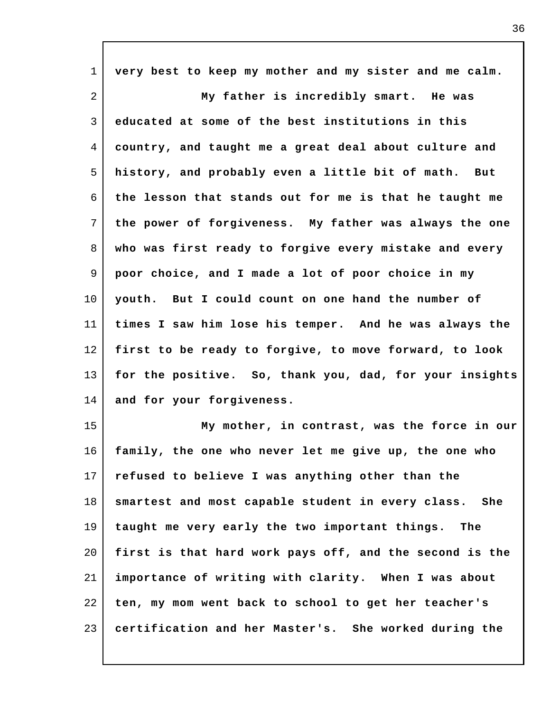| $\mathbf 1$    | very best to keep my mother and my sister and me calm.  |
|----------------|---------------------------------------------------------|
| $\overline{a}$ | My father is incredibly smart. He was                   |
| 3              | educated at some of the best institutions in this       |
| 4              | country, and taught me a great deal about culture and   |
| 5              | history, and probably even a little bit of math. But    |
| 6              | the lesson that stands out for me is that he taught me  |
| 7              | the power of forgiveness. My father was always the one  |
| 8              | who was first ready to forgive every mistake and every  |
| 9              | poor choice, and I made a lot of poor choice in my      |
| $10 \,$        | youth. But I could count on one hand the number of      |
| 11             | times I saw him lose his temper. And he was always the  |
| 12             | first to be ready to forgive, to move forward, to look  |
| 13             | for the positive. So, thank you, dad, for your insights |
| 14             | and for your forgiveness.                               |
| 15             | My mother, in contrast, was the force in our            |
| 16             | family, the one who never let me give up, the one who   |
| 17             | refused to believe I was anything other than the        |
| 18             | smartest and most capable student in every class. She   |
| 19             | taught me very early the two important things. The      |
| 20             | first is that hard work pays off, and the second is the |
| 21             | importance of writing with clarity. When I was about    |
| 22             | ten, my mom went back to school to get her teacher's    |
| 23             | certification and her Master's. She worked during the   |

I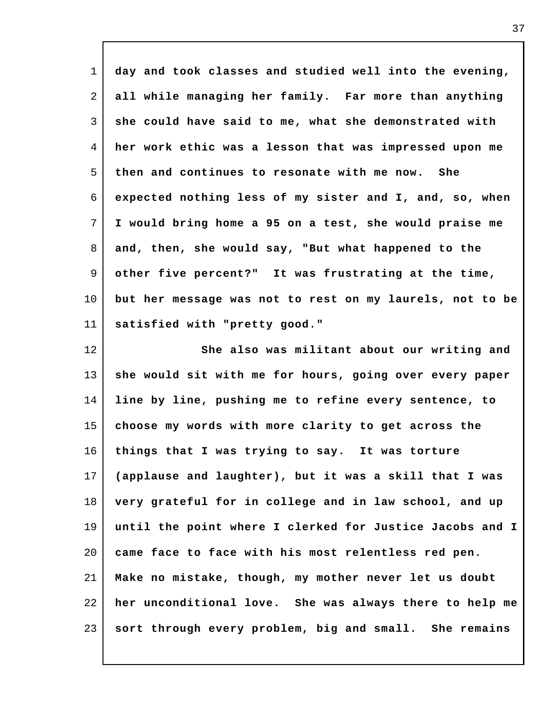| $\mathbf 1$ | day and took classes and studied well into the evening,  |
|-------------|----------------------------------------------------------|
| 2           | all while managing her family. Far more than anything    |
| 3           | she could have said to me, what she demonstrated with    |
| 4           | her work ethic was a lesson that was impressed upon me   |
| 5           | then and continues to resonate with me now. She          |
| 6           | expected nothing less of my sister and I, and, so, when  |
| 7           | I would bring home a 95 on a test, she would praise me   |
| 8           | and, then, she would say, "But what happened to the      |
| 9           | other five percent?" It was frustrating at the time,     |
| $10 \,$     | but her message was not to rest on my laurels, not to be |
| 11          | satisfied with "pretty good."                            |
| 12          | She also was militant about our writing and              |
| 13          | she would sit with me for hours, going over every paper  |
| 14          | line by line, pushing me to refine every sentence, to    |
| 15          | choose my words with more clarity to get across the      |
| 16          | things that I was trying to say. It was torture          |
| 17          | (applause and laughter), but it was a skill that I was   |
| 18          | very grateful for in college and in law school, and up   |
| 19          | until the point where I clerked for Justice Jacobs and I |
| 20          | came face to face with his most relentless red pen.      |
| 21          | Make no mistake, though, my mother never let us doubt    |
| 22          | her unconditional love. She was always there to help me  |
| 23          | sort through every problem, big and small. She remains   |

 $\mathsf{l}$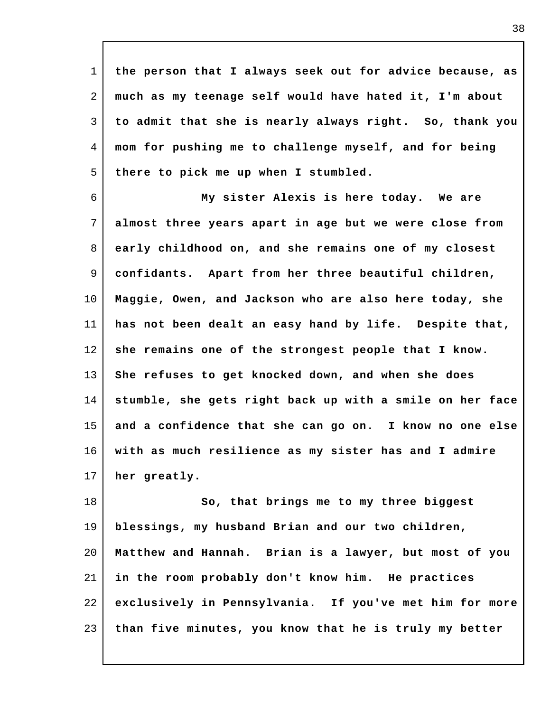1 2 3 4 5 **the person that I always seek out for advice because, as much as my teenage self would have hated it, I'm about to admit that she is nearly always right. So, thank you mom for pushing me to challenge myself, and for being there to pick me up when I stumbled.**

6 7 8 9 10 11 12 13 14 15 16 17 **My sister Alexis is here today. We are almost three years apart in age but we were close from early childhood on, and she remains one of my closest confidants. Apart from her three beautiful children, Maggie, Owen, and Jackson who are also here today, she has not been dealt an easy hand by life. Despite that, she remains one of the strongest people that I know. She refuses to get knocked down, and when she does stumble, she gets right back up with a smile on her face and a confidence that she can go on. I know no one else with as much resilience as my sister has and I admire her greatly.**

18 19 20 21 22 23 **So, that brings me to my three biggest blessings, my husband Brian and our two children, Matthew and Hannah. Brian is a lawyer, but most of you in the room probably don't know him. He practices exclusively in Pennsylvania. If you've met him for more than five minutes, you know that he is truly my better**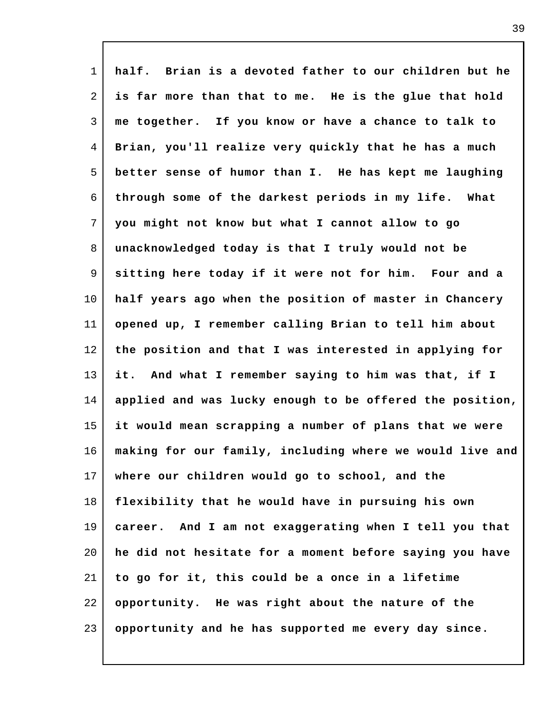1 2 3 4 5 6 7 8 9 10 11 12 13 14 15 16 17 18 19 20 21 22 23 **half. Brian is a devoted father to our children but he is far more than that to me. He is the glue that hold me together. If you know or have a chance to talk to Brian, you'll realize very quickly that he has a much better sense of humor than I. He has kept me laughing through some of the darkest periods in my life. What you might not know but what I cannot allow to go unacknowledged today is that I truly would not be sitting here today if it were not for him. Four and a half years ago when the position of master in Chancery opened up, I remember calling Brian to tell him about the position and that I was interested in applying for it. And what I remember saying to him was that, if I applied and was lucky enough to be offered the position, it would mean scrapping a number of plans that we were making for our family, including where we would live and where our children would go to school, and the flexibility that he would have in pursuing his own career. And I am not exaggerating when I tell you that he did not hesitate for a moment before saying you have to go for it, this could be a once in a lifetime opportunity. He was right about the nature of the opportunity and he has supported me every day since.**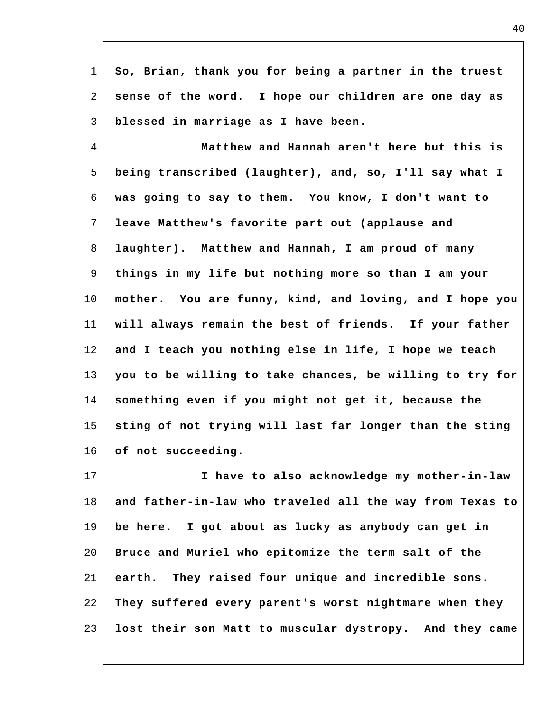| $\mathbf 1$ | So, Brian, thank you for being a partner in the truest   |
|-------------|----------------------------------------------------------|
| 2           | sense of the word. I hope our children are one day as    |
| 3           | blessed in marriage as I have been.                      |
| 4           | Matthew and Hannah aren't here but this is               |
| 5           | being transcribed (laughter), and, so, I'll say what I   |
| 6           | was going to say to them. You know, I don't want to      |
| 7           | leave Matthew's favorite part out (applause and          |
| 8           | laughter). Matthew and Hannah, I am proud of many        |
| 9           | things in my life but nothing more so than I am your     |
| $10 \,$     | mother. You are funny, kind, and loving, and I hope you  |
| 11          | will always remain the best of friends. If your father   |
| 12          | and I teach you nothing else in life, I hope we teach    |
| 13          | you to be willing to take chances, be willing to try for |
| 14          | something even if you might not get it, because the      |
| 15          | sting of not trying will last far longer than the sting  |
| 16          | of not succeeding.                                       |
| 17          | I have to also acknowledge my mother-in-law              |
| 18          | and father-in-law who traveled all the way from Texas to |
| 19          | be here. I got about as lucky as anybody can get in      |
| 20          | Bruce and Muriel who epitomize the term salt of the      |
| 21          | earth. They raised four unique and incredible sons.      |
| 22          | They suffered every parent's worst nightmare when they   |
| 23          | lost their son Matt to muscular dystropy. And they came  |
|             |                                                          |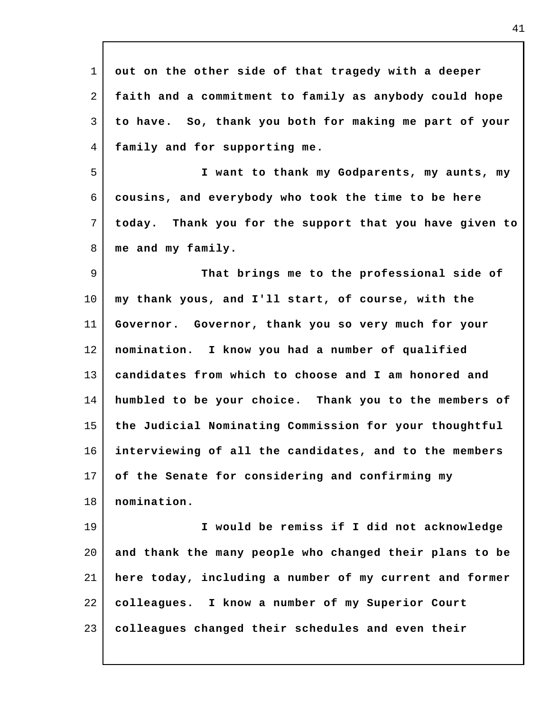| $\mathbf{1}$ | out on the other side of that tragedy with a deeper     |
|--------------|---------------------------------------------------------|
| 2            | faith and a commitment to family as anybody could hope  |
| 3            | to have. So, thank you both for making me part of your  |
| 4            | family and for supporting me.                           |
| 5            | I want to thank my Godparents, my aunts, my             |
| 6            | cousins, and everybody who took the time to be here     |
| 7            | today. Thank you for the support that you have given to |
| 8            | me and my family.                                       |
| 9            | That brings me to the professional side of              |
| $10 \,$      | my thank yous, and I'll start, of course, with the      |
| 11           | Governor. Governor, thank you so very much for your     |
| 12           | nomination. I know you had a number of qualified        |
| 13           | candidates from which to choose and I am honored and    |
| 14           | humbled to be your choice. Thank you to the members of  |
| 15           | the Judicial Nominating Commission for your thoughtful  |
| 16           | interviewing of all the candidates, and to the members  |
| 17           | of the Senate for considering and confirming my         |
| 18           | nomination.                                             |
| 19           | I would be remiss if I did not acknowledge              |
| 20           | and thank the many people who changed their plans to be |
| 21           | here today, including a number of my current and former |
| 22           | colleagues. I know a number of my Superior Court        |
| 23           | colleagues changed their schedules and even their       |
|              |                                                         |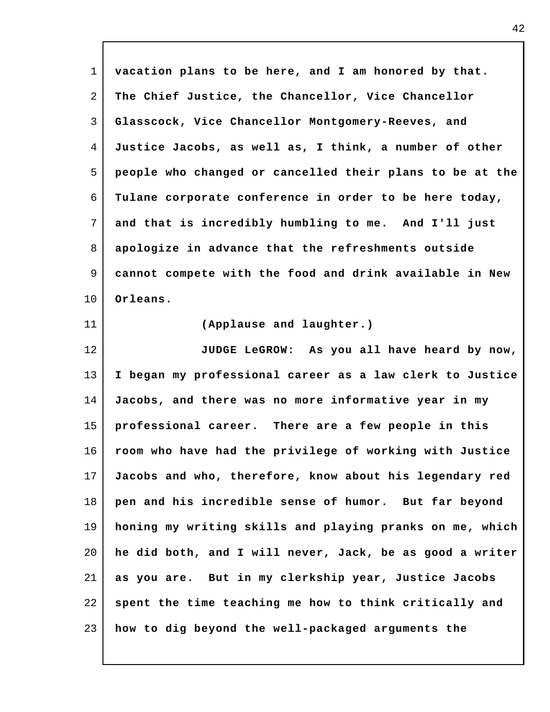| $\mathbf{1}$ | vacation plans to be here, and I am honored by that.     |
|--------------|----------------------------------------------------------|
| 2            | The Chief Justice, the Chancellor, Vice Chancellor       |
| 3            | Glasscock, Vice Chancellor Montgomery-Reeves, and        |
| 4            | Justice Jacobs, as well as, I think, a number of other   |
| 5            | people who changed or cancelled their plans to be at the |
| 6            | Tulane corporate conference in order to be here today,   |
| 7            | and that is incredibly humbling to me. And I'll just     |
| 8            | apologize in advance that the refreshments outside       |
| 9            | cannot compete with the food and drink available in New  |
| 10           | Orleans.                                                 |
| 11           | (Applause and laughter.)                                 |
| 12           | JUDGE LeGROW: As you all have heard by now,              |
| 13           | I began my professional career as a law clerk to Justice |
| 14           | Jacobs, and there was no more informative year in my     |
| 15           | professional career. There are a few people in this      |
| 16           | room who have had the privilege of working with Justice  |
| 17           | Jacobs and who, therefore, know about his legendary red  |
| 18           | pen and his incredible sense of humor. But far beyond    |
| 19           | honing my writing skills and playing pranks on me, which |
| 20           | he did both, and I will never, Jack, be as good a writer |
| 21           | as you are. But in my clerkship year, Justice Jacobs     |
| 22           | spent the time teaching me how to think critically and   |
| 23           | how to dig beyond the well-packaged arguments the        |

 $\Gamma$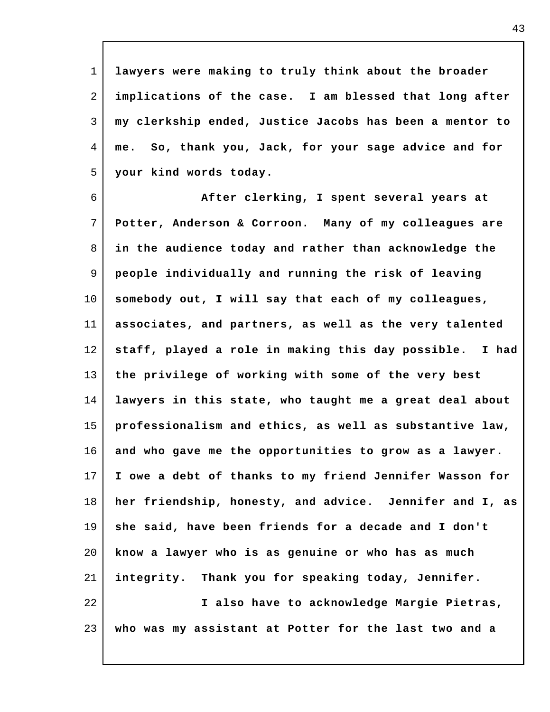1 2 3 4 5 **lawyers were making to truly think about the broader implications of the case. I am blessed that long after my clerkship ended, Justice Jacobs has been a mentor to me. So, thank you, Jack, for your sage advice and for your kind words today.**

6 7 8 9 10 11 12 13 14 15 16 17 18 19 20 21 22 **After clerking, I spent several years at Potter, Anderson & Corroon. Many of my colleagues are in the audience today and rather than acknowledge the people individually and running the risk of leaving somebody out, I will say that each of my colleagues, associates, and partners, as well as the very talented staff, played a role in making this day possible. I had the privilege of working with some of the very best lawyers in this state, who taught me a great deal about professionalism and ethics, as well as substantive law, and who gave me the opportunities to grow as a lawyer. I owe a debt of thanks to my friend Jennifer Wasson for her friendship, honesty, and advice. Jennifer and I, as she said, have been friends for a decade and I don't know a lawyer who is as genuine or who has as much integrity. Thank you for speaking today, Jennifer. I also have to acknowledge Margie Pietras,**

23 **who was my assistant at Potter for the last two and a**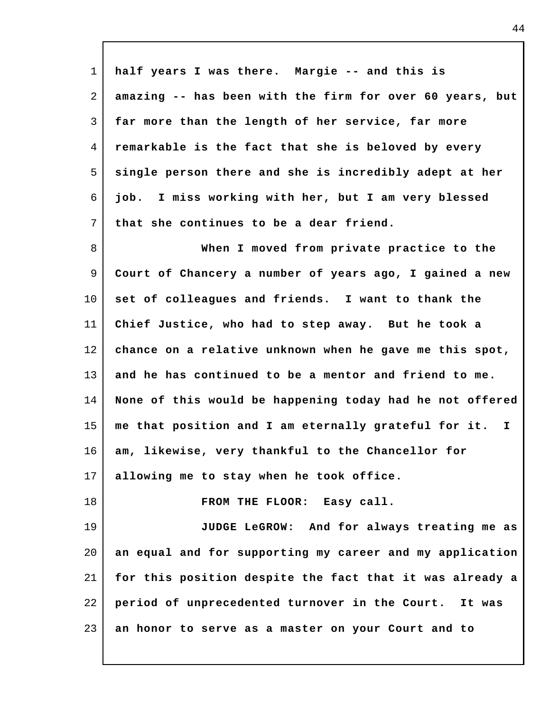| $\mathbf{1}$   | half years I was there. Margie -- and this is            |
|----------------|----------------------------------------------------------|
| 2              | amazing -- has been with the firm for over 60 years, but |
| 3              | far more than the length of her service, far more        |
| $\overline{4}$ | remarkable is the fact that she is beloved by every      |
| 5              | single person there and she is incredibly adept at her   |
| 6              | job. I miss working with her, but I am very blessed      |
| 7              | that she continues to be a dear friend.                  |
| 8              | When I moved from private practice to the                |
| 9              | Court of Chancery a number of years ago, I gained a new  |
| $10 \,$        | set of colleagues and friends. I want to thank the       |
| 11             | Chief Justice, who had to step away. But he took a       |
| 12             | chance on a relative unknown when he gave me this spot,  |
| 13             | and he has continued to be a mentor and friend to me.    |
| 14             | None of this would be happening today had he not offered |
| 15             | me that position and I am eternally grateful for it. I   |
| 16             | am, likewise, very thankful to the Chancellor for        |
| 17             | allowing me to stay when he took office.                 |
| 18             | FROM THE FLOOR: Easy call.                               |
| 19             | JUDGE LeGROW: And for always treating me as              |
| 20             | an equal and for supporting my career and my application |
| 21             | for this position despite the fact that it was already a |
| 22             | period of unprecedented turnover in the Court. It was    |
| 23             | an honor to serve as a master on your Court and to       |

 $\Gamma$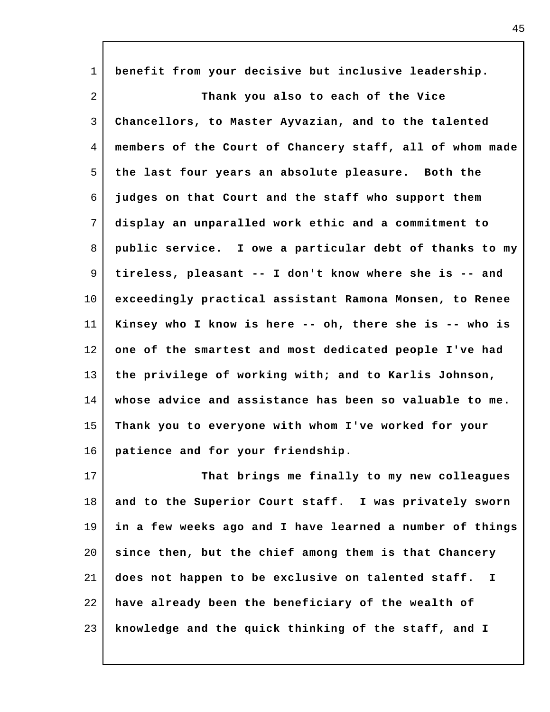| $\mathbf{1}$   | benefit from your decisive but inclusive leadership.               |
|----------------|--------------------------------------------------------------------|
| $\overline{a}$ | Thank you also to each of the Vice                                 |
| 3              | Chancellors, to Master Ayvazian, and to the talented               |
| 4              | members of the Court of Chancery staff, all of whom made           |
| 5              | the last four years an absolute pleasure. Both the                 |
| 6              | judges on that Court and the staff who support them                |
| 7              | display an unparalled work ethic and a commitment to               |
| 8              | public service. I owe a particular debt of thanks to my            |
| 9              | tireless, pleasant -- I don't know where she is -- and             |
| 10             | exceedingly practical assistant Ramona Monsen, to Renee            |
| 11             | Kinsey who I know is here -- oh, there she is -- who is            |
| 12             | one of the smartest and most dedicated people I've had             |
| 13             | the privilege of working with; and to Karlis Johnson,              |
| 14             | whose advice and assistance has been so valuable to me.            |
| 15             | Thank you to everyone with whom I've worked for your               |
| 16             | patience and for your friendship.                                  |
| 17             | That brings me finally to my new colleagues                        |
| 18             | and to the Superior Court staff. I was privately sworn             |
| 19             | in a few weeks ago and I have learned a number of things           |
| 20             | since then, but the chief among them is that Chancery              |
| 21             | does not happen to be exclusive on talented staff.<br>$\mathbf{I}$ |
| 22             | have already been the beneficiary of the wealth of                 |
| 23             | knowledge and the quick thinking of the staff, and I               |

I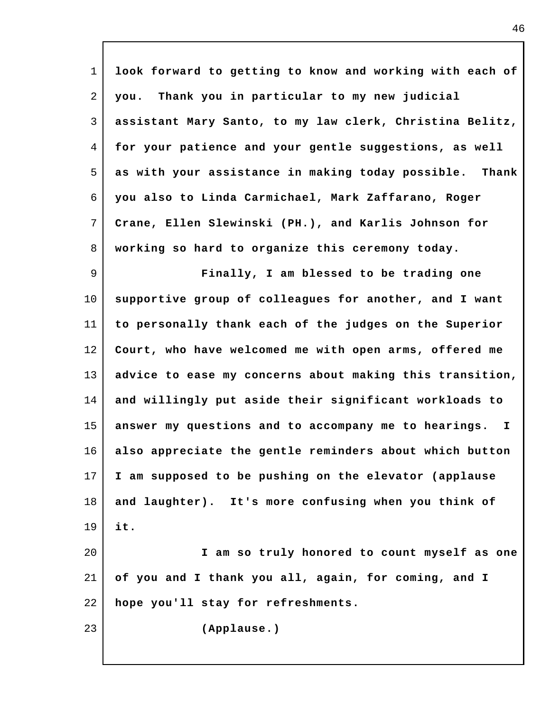| $\mathbf{1}$   | look forward to getting to know and working with each of             |
|----------------|----------------------------------------------------------------------|
| 2              | Thank you in particular to my new judicial<br>you.                   |
| 3              | assistant Mary Santo, to my law clerk, Christina Belitz,             |
| $\overline{4}$ | for your patience and your gentle suggestions, as well               |
| 5              | as with your assistance in making today possible. Thank              |
| 6              | you also to Linda Carmichael, Mark Zaffarano, Roger                  |
| 7              | Crane, Ellen Slewinski (PH.), and Karlis Johnson for                 |
| 8              | working so hard to organize this ceremony today.                     |
| 9              | Finally, I am blessed to be trading one                              |
| $10 \,$        | supportive group of colleagues for another, and I want               |
| 11             | to personally thank each of the judges on the Superior               |
| 12             | Court, who have welcomed me with open arms, offered me               |
| 13             | advice to ease my concerns about making this transition,             |
| 14             | and willingly put aside their significant workloads to               |
| 15             | answer my questions and to accompany me to hearings.<br>$\mathbf{I}$ |
| 16             | also appreciate the gentle reminders about which button              |
| 17             | I am supposed to be pushing on the elevator (applause                |
| 18             | and laughter). It's more confusing when you think of                 |
| 19             | it.                                                                  |
| 20             | I am so truly honored to count myself as one                         |
| 21             | of you and I thank you all, again, for coming, and I                 |
| 22             | hope you'll stay for refreshments.                                   |
| 23             | (Applause.)                                                          |
|                |                                                                      |

 $\mathsf{l}$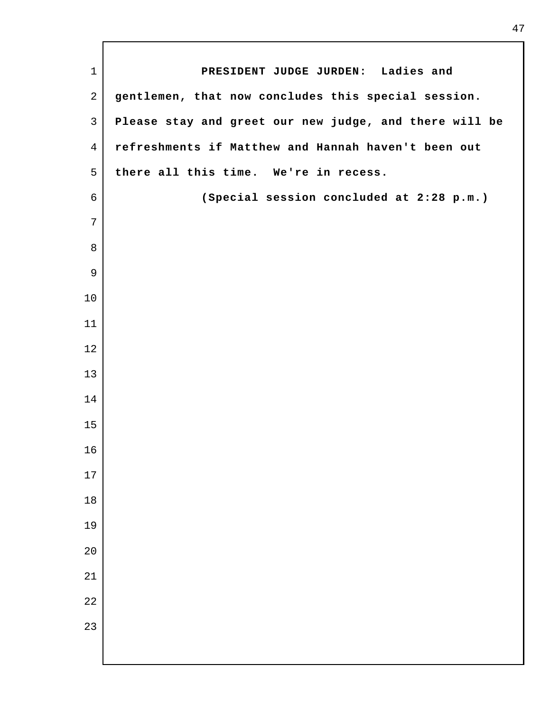| $\mathbf{1}$    | PRESIDENT JUDGE JURDEN: Ladies and                     |
|-----------------|--------------------------------------------------------|
| $\overline{2}$  | gentlemen, that now concludes this special session.    |
| $\mathfrak{Z}$  | Please stay and greet our new judge, and there will be |
| 4               | refreshments if Matthew and Hannah haven't been out    |
| 5               | there all this time. We're in recess.                  |
|                 |                                                        |
| $\epsilon$<br>7 | (Special session concluded at 2:28 p.m.)               |
|                 |                                                        |
| 8               |                                                        |
| 9               |                                                        |
| 10              |                                                        |
| 11              |                                                        |
| 12              |                                                        |
| 13              |                                                        |
| 14              |                                                        |
| 15              |                                                        |
| 16              |                                                        |
| 17              |                                                        |
| 18              |                                                        |
| 19              |                                                        |
| 20              |                                                        |
| 21              |                                                        |
| 22              |                                                        |
| 23              |                                                        |
|                 |                                                        |